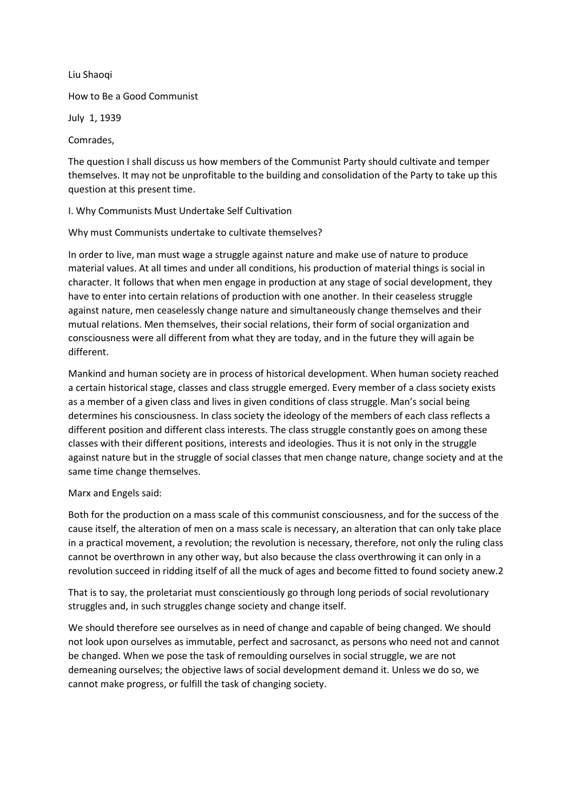Liu Shaoqi

How to Be a Good Communist

July 1, 1939

Comrades,

The question I shall discuss us how members of the Communist Party should cultivate and temper themselves. It may not be unprofitable to the building and consolidation of the Party to take up this question at this present time.

I. Why Communists Must Undertake Self Cultivation

Why must Communists undertake to cultivate themselves?

In order to live, man must wage a struggle against nature and make use of nature to produce material values. At all times and under all conditions, his production of material things is social in character. It follows that when men engage in production at any stage of social development, they have to enter into certain relations of production with one another. In their ceaseless struggle against nature, men ceaselessly change nature and simultaneously change themselves and their mutual relations. Men themselves, their social relations, their form of social organization and consciousness were all different from what they are today, and in the future they will again be different.

Mankind and human society are in process of historical development. When human society reached a certain historical stage, classes and class struggle emerged. Every member of a class society exists as a member of a given class and lives in given conditions of class struggle. Man's social being determines his consciousness. In class society the ideology of the members of each class reflects a different position and different class interests. The class struggle constantly goes on among these classes with their different positions, interests and ideologies. Thus it is not only in the struggle against nature but in the struggle of social classes that men change nature, change society and at the same time change themselves.

### Marx and Engels said:

Both for the production on a mass scale of this communist consciousness, and for the success of the cause itself, the alteration of men on a mass scale is necessary, an alteration that can only take place in a practical movement, a revolution; the revolution is necessary, therefore, not only the ruling class cannot be overthrown in any other way, but also because the class overthrowing it can only in a revolution succeed in ridding itself of all the muck of ages and become fitted to found society anew.2

That is to say, the proletariat must conscientiously go through long periods of social revolutionary struggles and, in such struggles change society and change itself.

We should therefore see ourselves as in need of change and capable of being changed. We should not look upon ourselves as immutable, perfect and sacrosanct, as persons who need not and cannot be changed. When we pose the task of remoulding ourselves in social struggle, we are not demeaning ourselves; the objective laws of social development demand it. Unless we do so, we cannot make progress, or fulfill the task of changing society.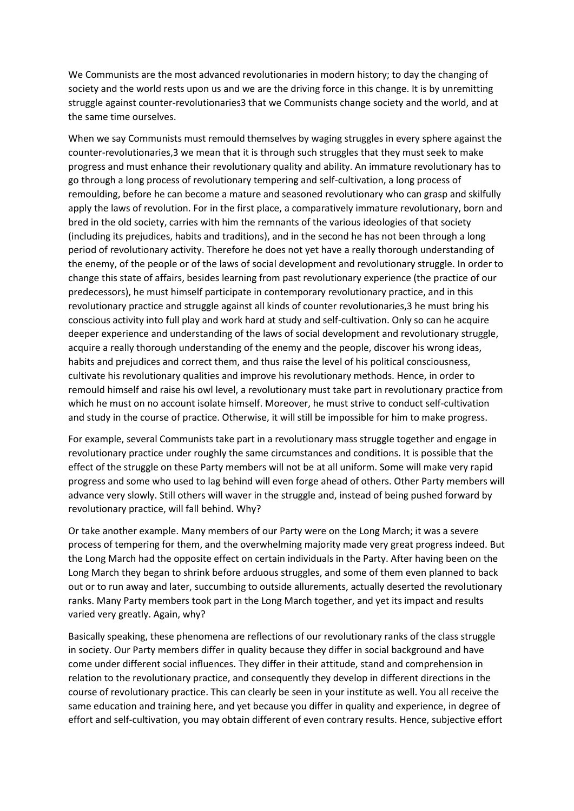We Communists are the most advanced revolutionaries in modern history; to day the changing of society and the world rests upon us and we are the driving force in this change. It is by unremitting struggle against counter-revolutionaries3 that we Communists change society and the world, and at the same time ourselves.

When we say Communists must remould themselves by waging struggles in every sphere against the counter-revolutionaries,3 we mean that it is through such struggles that they must seek to make progress and must enhance their revolutionary quality and ability. An immature revolutionary has to go through a long process of revolutionary tempering and self-cultivation, a long process of remoulding, before he can become a mature and seasoned revolutionary who can grasp and skilfully apply the laws of revolution. For in the first place, a comparatively immature revolutionary, born and bred in the old society, carries with him the remnants of the various ideologies of that society (including its prejudices, habits and traditions), and in the second he has not been through a long period of revolutionary activity. Therefore he does not yet have a really thorough understanding of the enemy, of the people or of the laws of social development and revolutionary struggle. In order to change this state of affairs, besides learning from past revolutionary experience (the practice of our predecessors), he must himself participate in contemporary revolutionary practice, and in this revolutionary practice and struggle against all kinds of counter revolutionaries,3 he must bring his conscious activity into full play and work hard at study and self-cultivation. Only so can he acquire deeper experience and understanding of the laws of social development and revolutionary struggle, acquire a really thorough understanding of the enemy and the people, discover his wrong ideas, habits and prejudices and correct them, and thus raise the level of his political consciousness, cultivate his revolutionary qualities and improve his revolutionary methods. Hence, in order to remould himself and raise his owl level, a revolutionary must take part in revolutionary practice from which he must on no account isolate himself. Moreover, he must strive to conduct self-cultivation and study in the course of practice. Otherwise, it will still be impossible for him to make progress.

For example, several Communists take part in a revolutionary mass struggle together and engage in revolutionary practice under roughly the same circumstances and conditions. It is possible that the effect of the struggle on these Party members will not be at all uniform. Some will make very rapid progress and some who used to lag behind will even forge ahead of others. Other Party members will advance very slowly. Still others will waver in the struggle and, instead of being pushed forward by revolutionary practice, will fall behind. Why?

Or take another example. Many members of our Party were on the Long March; it was a severe process of tempering for them, and the overwhelming majority made very great progress indeed. But the Long March had the opposite effect on certain individuals in the Party. After having been on the Long March they began to shrink before arduous struggles, and some of them even planned to back out or to run away and later, succumbing to outside allurements, actually deserted the revolutionary ranks. Many Party members took part in the Long March together, and yet its impact and results varied very greatly. Again, why?

Basically speaking, these phenomena are reflections of our revolutionary ranks of the class struggle in society. Our Party members differ in quality because they differ in social background and have come under different social influences. They differ in their attitude, stand and comprehension in relation to the revolutionary practice, and consequently they develop in different directions in the course of revolutionary practice. This can clearly be seen in your institute as well. You all receive the same education and training here, and yet because you differ in quality and experience, in degree of effort and self-cultivation, you may obtain different of even contrary results. Hence, subjective effort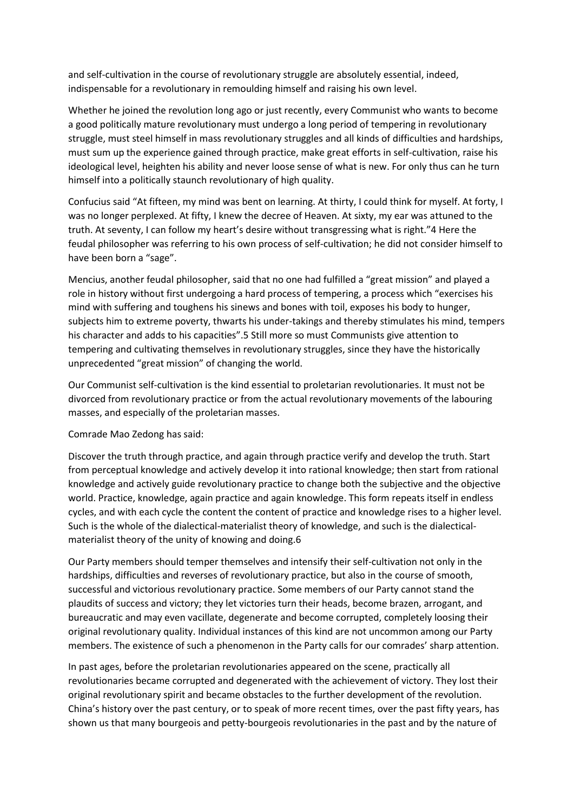and self-cultivation in the course of revolutionary struggle are absolutely essential, indeed, indispensable for a revolutionary in remoulding himself and raising his own level.

Whether he joined the revolution long ago or just recently, every Communist who wants to become a good politically mature revolutionary must undergo a long period of tempering in revolutionary struggle, must steel himself in mass revolutionary struggles and all kinds of difficulties and hardships, must sum up the experience gained through practice, make great efforts in self-cultivation, raise his ideological level, heighten his ability and never loose sense of what is new. For only thus can he turn himself into a politically staunch revolutionary of high quality.

Confucius said "At fifteen, my mind was bent on learning. At thirty, I could think for myself. At forty, I was no longer perplexed. At fifty, I knew the decree of Heaven. At sixty, my ear was attuned to the truth. At seventy, I can follow my heart's desire without transgressing what is right."4 Here the feudal philosopher was referring to his own process of self-cultivation; he did not consider himself to have been born a "sage".

Mencius, another feudal philosopher, said that no one had fulfilled a "great mission" and played a role in history without first undergoing a hard process of tempering, a process which "exercises his mind with suffering and toughens his sinews and bones with toil, exposes his body to hunger, subjects him to extreme poverty, thwarts his under-takings and thereby stimulates his mind, tempers his character and adds to his capacities".5 Still more so must Communists give attention to tempering and cultivating themselves in revolutionary struggles, since they have the historically unprecedented "great mission" of changing the world.

Our Communist self-cultivation is the kind essential to proletarian revolutionaries. It must not be divorced from revolutionary practice or from the actual revolutionary movements of the labouring masses, and especially of the proletarian masses.

### Comrade Mao Zedong has said:

Discover the truth through practice, and again through practice verify and develop the truth. Start from perceptual knowledge and actively develop it into rational knowledge; then start from rational knowledge and actively guide revolutionary practice to change both the subjective and the objective world. Practice, knowledge, again practice and again knowledge. This form repeats itself in endless cycles, and with each cycle the content the content of practice and knowledge rises to a higher level. Such is the whole of the dialectical-materialist theory of knowledge, and such is the dialecticalmaterialist theory of the unity of knowing and doing.6

Our Party members should temper themselves and intensify their self-cultivation not only in the hardships, difficulties and reverses of revolutionary practice, but also in the course of smooth, successful and victorious revolutionary practice. Some members of our Party cannot stand the plaudits of success and victory; they let victories turn their heads, become brazen, arrogant, and bureaucratic and may even vacillate, degenerate and become corrupted, completely loosing their original revolutionary quality. Individual instances of this kind are not uncommon among our Party members. The existence of such a phenomenon in the Party calls for our comrades' sharp attention.

In past ages, before the proletarian revolutionaries appeared on the scene, practically all revolutionaries became corrupted and degenerated with the achievement of victory. They lost their original revolutionary spirit and became obstacles to the further development of the revolution. China's history over the past century, or to speak of more recent times, over the past fifty years, has shown us that many bourgeois and petty-bourgeois revolutionaries in the past and by the nature of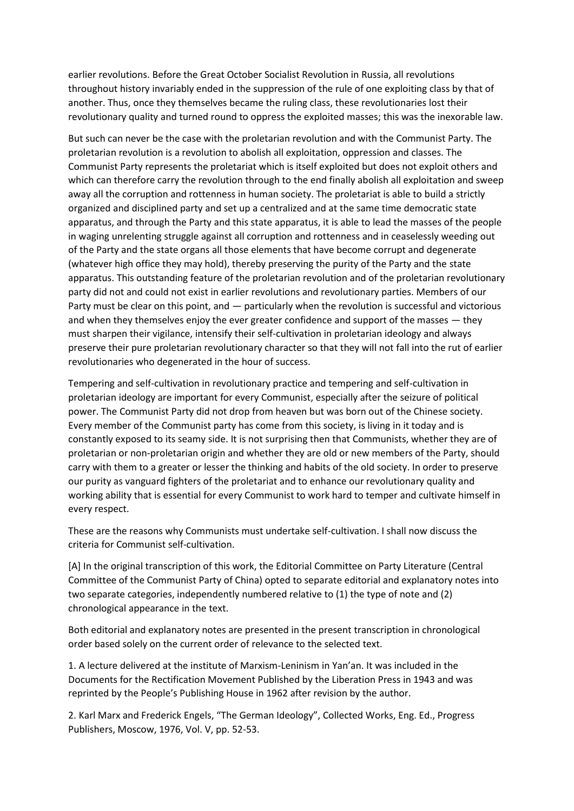earlier revolutions. Before the Great October Socialist Revolution in Russia, all revolutions throughout history invariably ended in the suppression of the rule of one exploiting class by that of another. Thus, once they themselves became the ruling class, these revolutionaries lost their revolutionary quality and turned round to oppress the exploited masses; this was the inexorable law.

But such can never be the case with the proletarian revolution and with the Communist Party. The proletarian revolution is a revolution to abolish all exploitation, oppression and classes. The Communist Party represents the proletariat which is itself exploited but does not exploit others and which can therefore carry the revolution through to the end finally abolish all exploitation and sweep away all the corruption and rottenness in human society. The proletariat is able to build a strictly organized and disciplined party and set up a centralized and at the same time democratic state apparatus, and through the Party and this state apparatus, it is able to lead the masses of the people in waging unrelenting struggle against all corruption and rottenness and in ceaselessly weeding out of the Party and the state organs all those elements that have become corrupt and degenerate (whatever high office they may hold), thereby preserving the purity of the Party and the state apparatus. This outstanding feature of the proletarian revolution and of the proletarian revolutionary party did not and could not exist in earlier revolutions and revolutionary parties. Members of our Party must be clear on this point, and — particularly when the revolution is successful and victorious and when they themselves enjoy the ever greater confidence and support of the masses — they must sharpen their vigilance, intensify their self-cultivation in proletarian ideology and always preserve their pure proletarian revolutionary character so that they will not fall into the rut of earlier revolutionaries who degenerated in the hour of success.

Tempering and self-cultivation in revolutionary practice and tempering and self-cultivation in proletarian ideology are important for every Communist, especially after the seizure of political power. The Communist Party did not drop from heaven but was born out of the Chinese society. Every member of the Communist party has come from this society, is living in it today and is constantly exposed to its seamy side. It is not surprising then that Communists, whether they are of proletarian or non-proletarian origin and whether they are old or new members of the Party, should carry with them to a greater or lesser the thinking and habits of the old society. In order to preserve our purity as vanguard fighters of the proletariat and to enhance our revolutionary quality and working ability that is essential for every Communist to work hard to temper and cultivate himself in every respect.

These are the reasons why Communists must undertake self-cultivation. I shall now discuss the criteria for Communist self-cultivation.

[A] In the original transcription of this work, the Editorial Committee on Party Literature (Central Committee of the Communist Party of China) opted to separate editorial and explanatory notes into two separate categories, independently numbered relative to (1) the type of note and (2) chronological appearance in the text.

Both editorial and explanatory notes are presented in the present transcription in chronological order based solely on the current order of relevance to the selected text.

1. A lecture delivered at the institute of Marxism-Leninism in Yan'an. It was included in the Documents for the Rectification Movement Published by the Liberation Press in 1943 and was reprinted by the People's Publishing House in 1962 after revision by the author.

2. Karl Marx and Frederick Engels, "The German Ideology", Collected Works, Eng. Ed., Progress Publishers, Moscow, 1976, Vol. V, pp. 52-53.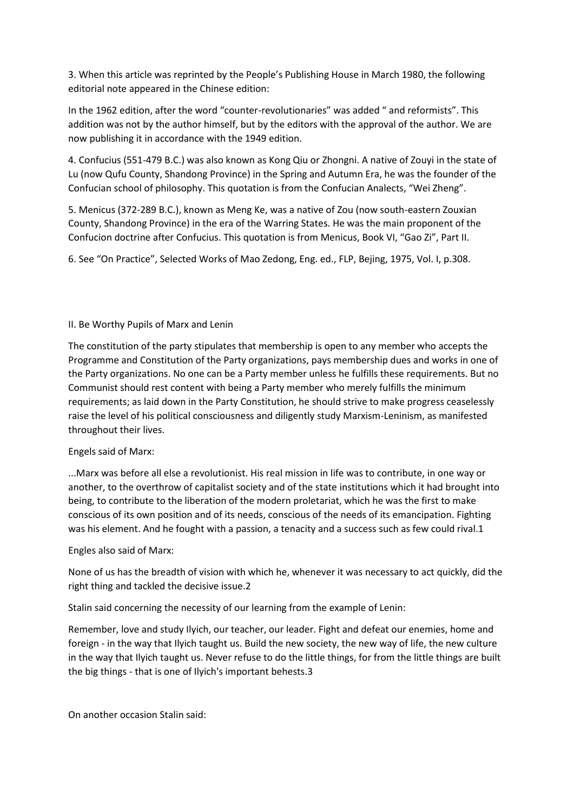3. When this article was reprinted by the People's Publishing House in March 1980, the following editorial note appeared in the Chinese edition:

In the 1962 edition, after the word "counter-revolutionaries" was added " and reformists". This addition was not by the author himself, but by the editors with the approval of the author. We are now publishing it in accordance with the 1949 edition.

4. Confucius (551-479 B.C.) was also known as Kong Qiu or Zhongni. A native of Zouyi in the state of Lu (now Qufu County, Shandong Province) in the Spring and Autumn Era, he was the founder of the Confucian school of philosophy. This quotation is from the Confucian Analects, "Wei Zheng".

5. Menicus (372-289 B.C.), known as Meng Ke, was a native of Zou (now south-eastern Zouxian County, Shandong Province) in the era of the Warring States. He was the main proponent of the Confucion doctrine after Confucius. This quotation is from Menicus, Book VI, "Gao Zi", Part II.

6. See "On Practice", Selected Works of Mao Zedong, Eng. ed., FLP, Bejing, 1975, Vol. I, p.308.

## II. Be Worthy Pupils of Marx and Lenin

The constitution of the party stipulates that membership is open to any member who accepts the Programme and Constitution of the Party organizations, pays membership dues and works in one of the Party organizations. No one can be a Party member unless he fulfills these requirements. But no Communist should rest content with being a Party member who merely fulfills the minimum requirements; as laid down in the Party Constitution, he should strive to make progress ceaselessly raise the level of his political consciousness and diligently study Marxism-Leninism, as manifested throughout their lives.

### Engels said of Marx:

...Marx was before all else a revolutionist. His real mission in life was to contribute, in one way or another, to the overthrow of capitalist society and of the state institutions which it had brought into being, to contribute to the liberation of the modern proletariat, which he was the first to make conscious of its own position and of its needs, conscious of the needs of its emancipation. Fighting was his element. And he fought with a passion, a tenacity and a success such as few could rival.1

### Engles also said of Marx:

None of us has the breadth of vision with which he, whenever it was necessary to act quickly, did the right thing and tackled the decisive issue.2

Stalin said concerning the necessity of our learning from the example of Lenin:

Remember, love and study Ilyich, our teacher, our leader. Fight and defeat our enemies, home and foreign - in the way that Ilyich taught us. Build the new society, the new way of life, the new culture in the way that Ilyich taught us. Never refuse to do the little things, for from the little things are built the big things - that is one of Ilyich's important behests.3

On another occasion Stalin said: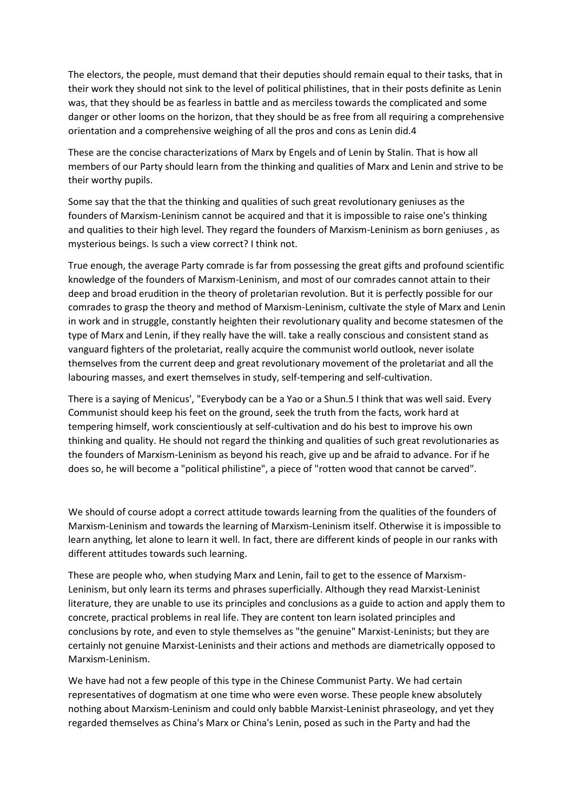The electors, the people, must demand that their deputies should remain equal to their tasks, that in their work they should not sink to the level of political philistines, that in their posts definite as Lenin was, that they should be as fearless in battle and as merciless towards the complicated and some danger or other looms on the horizon, that they should be as free from all requiring a comprehensive orientation and a comprehensive weighing of all the pros and cons as Lenin did.4

These are the concise characterizations of Marx by Engels and of Lenin by Stalin. That is how all members of our Party should learn from the thinking and qualities of Marx and Lenin and strive to be their worthy pupils.

Some say that the that the thinking and qualities of such great revolutionary geniuses as the founders of Marxism-Leninism cannot be acquired and that it is impossible to raise one's thinking and qualities to their high level. They regard the founders of Marxism-Leninism as born geniuses , as mysterious beings. Is such a view correct? I think not.

True enough, the average Party comrade is far from possessing the great gifts and profound scientific knowledge of the founders of Marxism-Leninism, and most of our comrades cannot attain to their deep and broad erudition in the theory of proletarian revolution. But it is perfectly possible for our comrades to grasp the theory and method of Marxism-Leninism, cultivate the style of Marx and Lenin in work and in struggle, constantly heighten their revolutionary quality and become statesmen of the type of Marx and Lenin, if they really have the will. take a really conscious and consistent stand as vanguard fighters of the proletariat, really acquire the communist world outlook, never isolate themselves from the current deep and great revolutionary movement of the proletariat and all the labouring masses, and exert themselves in study, self-tempering and self-cultivation.

There is a saying of Menicus', "Everybody can be a Yao or a Shun.5 I think that was well said. Every Communist should keep his feet on the ground, seek the truth from the facts, work hard at tempering himself, work conscientiously at self-cultivation and do his best to improve his own thinking and quality. He should not regard the thinking and qualities of such great revolutionaries as the founders of Marxism-Leninism as beyond his reach, give up and be afraid to advance. For if he does so, he will become a "political philistine", a piece of "rotten wood that cannot be carved".

We should of course adopt a correct attitude towards learning from the qualities of the founders of Marxism-Leninism and towards the learning of Marxism-Leninism itself. Otherwise it is impossible to learn anything, let alone to learn it well. In fact, there are different kinds of people in our ranks with different attitudes towards such learning.

These are people who, when studying Marx and Lenin, fail to get to the essence of Marxism-Leninism, but only learn its terms and phrases superficially. Although they read Marxist-Leninist literature, they are unable to use its principles and conclusions as a guide to action and apply them to concrete, practical problems in real life. They are content ton learn isolated principles and conclusions by rote, and even to style themselves as "the genuine" Marxist-Leninists; but they are certainly not genuine Marxist-Leninists and their actions and methods are diametrically opposed to Marxism-Leninism.

We have had not a few people of this type in the Chinese Communist Party. We had certain representatives of dogmatism at one time who were even worse. These people knew absolutely nothing about Marxism-Leninism and could only babble Marxist-Leninist phraseology, and yet they regarded themselves as China's Marx or China's Lenin, posed as such in the Party and had the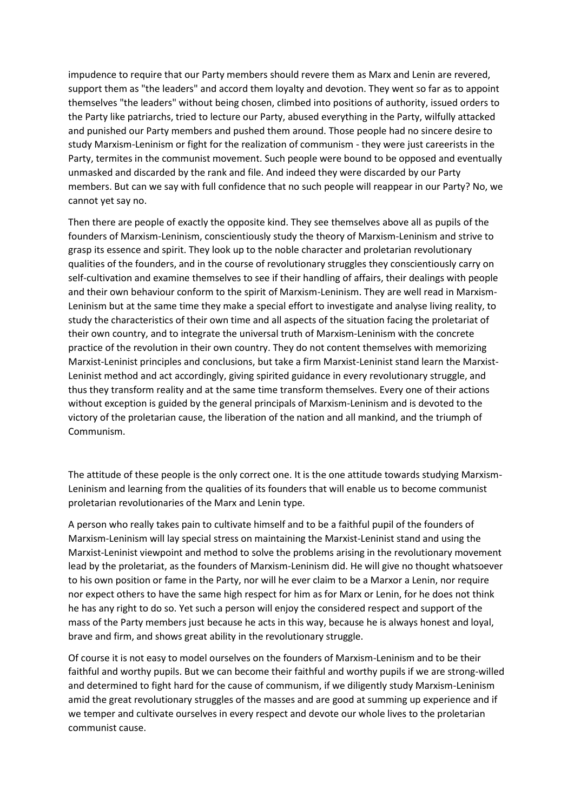impudence to require that our Party members should revere them as Marx and Lenin are revered, support them as "the leaders" and accord them loyalty and devotion. They went so far as to appoint themselves "the leaders" without being chosen, climbed into positions of authority, issued orders to the Party like patriarchs, tried to lecture our Party, abused everything in the Party, wilfully attacked and punished our Party members and pushed them around. Those people had no sincere desire to study Marxism-Leninism or fight for the realization of communism - they were just careerists in the Party, termites in the communist movement. Such people were bound to be opposed and eventually unmasked and discarded by the rank and file. And indeed they were discarded by our Party members. But can we say with full confidence that no such people will reappear in our Party? No, we cannot yet say no.

Then there are people of exactly the opposite kind. They see themselves above all as pupils of the founders of Marxism-Leninism, conscientiously study the theory of Marxism-Leninism and strive to grasp its essence and spirit. They look up to the noble character and proletarian revolutionary qualities of the founders, and in the course of revolutionary struggles they conscientiously carry on self-cultivation and examine themselves to see if their handling of affairs, their dealings with people and their own behaviour conform to the spirit of Marxism-Leninism. They are well read in Marxism-Leninism but at the same time they make a special effort to investigate and analyse living reality, to study the characteristics of their own time and all aspects of the situation facing the proletariat of their own country, and to integrate the universal truth of Marxism-Leninism with the concrete practice of the revolution in their own country. They do not content themselves with memorizing Marxist-Leninist principles and conclusions, but take a firm Marxist-Leninist stand learn the Marxist-Leninist method and act accordingly, giving spirited guidance in every revolutionary struggle, and thus they transform reality and at the same time transform themselves. Every one of their actions without exception is guided by the general principals of Marxism-Leninism and is devoted to the victory of the proletarian cause, the liberation of the nation and all mankind, and the triumph of Communism.

The attitude of these people is the only correct one. It is the one attitude towards studying Marxism-Leninism and learning from the qualities of its founders that will enable us to become communist proletarian revolutionaries of the Marx and Lenin type.

A person who really takes pain to cultivate himself and to be a faithful pupil of the founders of Marxism-Leninism will lay special stress on maintaining the Marxist-Leninist stand and using the Marxist-Leninist viewpoint and method to solve the problems arising in the revolutionary movement lead by the proletariat, as the founders of Marxism-Leninism did. He will give no thought whatsoever to his own position or fame in the Party, nor will he ever claim to be a Marxor a Lenin, nor require nor expect others to have the same high respect for him as for Marx or Lenin, for he does not think he has any right to do so. Yet such a person will enjoy the considered respect and support of the mass of the Party members just because he acts in this way, because he is always honest and loyal, brave and firm, and shows great ability in the revolutionary struggle.

Of course it is not easy to model ourselves on the founders of Marxism-Leninism and to be their faithful and worthy pupils. But we can become their faithful and worthy pupils if we are strong-willed and determined to fight hard for the cause of communism, if we diligently study Marxism-Leninism amid the great revolutionary struggles of the masses and are good at summing up experience and if we temper and cultivate ourselves in every respect and devote our whole lives to the proletarian communist cause.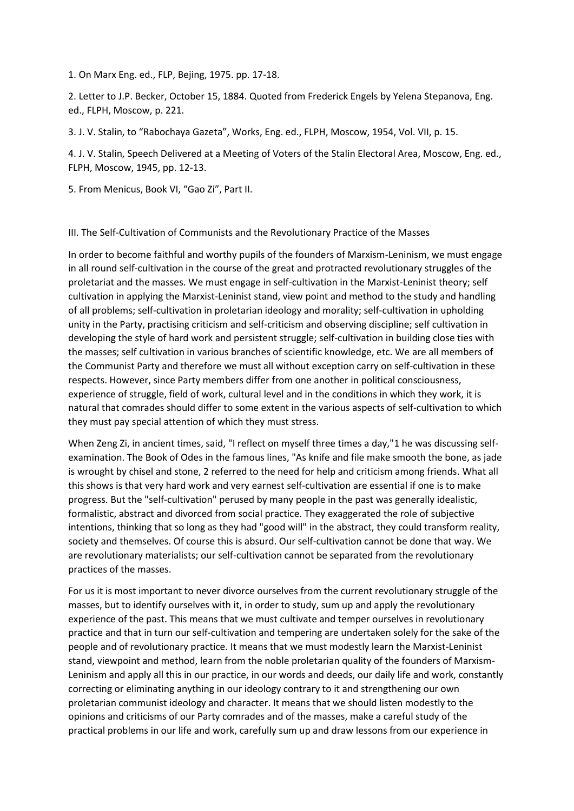1. On Marx Eng. ed., FLP, Bejing, 1975. pp. 17-18.

2. Letter to J.P. Becker, October 15, 1884. Quoted from Frederick Engels by Yelena Stepanova, Eng. ed., FLPH, Moscow, p. 221.

3. J. V. Stalin, to "Rabochaya Gazeta", Works, Eng. ed., FLPH, Moscow, 1954, Vol. VII, p. 15.

4. J. V. Stalin, Speech Delivered at a Meeting of Voters of the Stalin Electoral Area, Moscow, Eng. ed., FLPH, Moscow, 1945, pp. 12-13.

5. From Menicus, Book VI, "Gao Zi", Part II.

III. The Self-Cultivation of Communists and the Revolutionary Practice of the Masses

In order to become faithful and worthy pupils of the founders of Marxism-Leninism, we must engage in all round self-cultivation in the course of the great and protracted revolutionary struggles of the proletariat and the masses. We must engage in self-cultivation in the Marxist-Leninist theory; self cultivation in applying the Marxist-Leninist stand, view point and method to the study and handling of all problems; self-cultivation in proletarian ideology and morality; self-cultivation in upholding unity in the Party, practising criticism and self-criticism and observing discipline; self cultivation in developing the style of hard work and persistent struggle; self-cultivation in building close ties with the masses; self cultivation in various branches of scientific knowledge, etc. We are all members of the Communist Party and therefore we must all without exception carry on self-cultivation in these respects. However, since Party members differ from one another in political consciousness, experience of struggle, field of work, cultural level and in the conditions in which they work, it is natural that comrades should differ to some extent in the various aspects of self-cultivation to which they must pay special attention of which they must stress.

When Zeng Zi, in ancient times, said, "I reflect on myself three times a day,"1 he was discussing selfexamination. The Book of Odes in the famous lines, "As knife and file make smooth the bone, as jade is wrought by chisel and stone, 2 referred to the need for help and criticism among friends. What all this shows is that very hard work and very earnest self-cultivation are essential if one is to make progress. But the "self-cultivation" perused by many people in the past was generally idealistic, formalistic, abstract and divorced from social practice. They exaggerated the role of subjective intentions, thinking that so long as they had "good will" in the abstract, they could transform reality, society and themselves. Of course this is absurd. Our self-cultivation cannot be done that way. We are revolutionary materialists; our self-cultivation cannot be separated from the revolutionary practices of the masses.

For us it is most important to never divorce ourselves from the current revolutionary struggle of the masses, but to identify ourselves with it, in order to study, sum up and apply the revolutionary experience of the past. This means that we must cultivate and temper ourselves in revolutionary practice and that in turn our self-cultivation and tempering are undertaken solely for the sake of the people and of revolutionary practice. It means that we must modestly learn the Marxist-Leninist stand, viewpoint and method, learn from the noble proletarian quality of the founders of Marxism-Leninism and apply all this in our practice, in our words and deeds, our daily life and work, constantly correcting or eliminating anything in our ideology contrary to it and strengthening our own proletarian communist ideology and character. It means that we should listen modestly to the opinions and criticisms of our Party comrades and of the masses, make a careful study of the practical problems in our life and work, carefully sum up and draw lessons from our experience in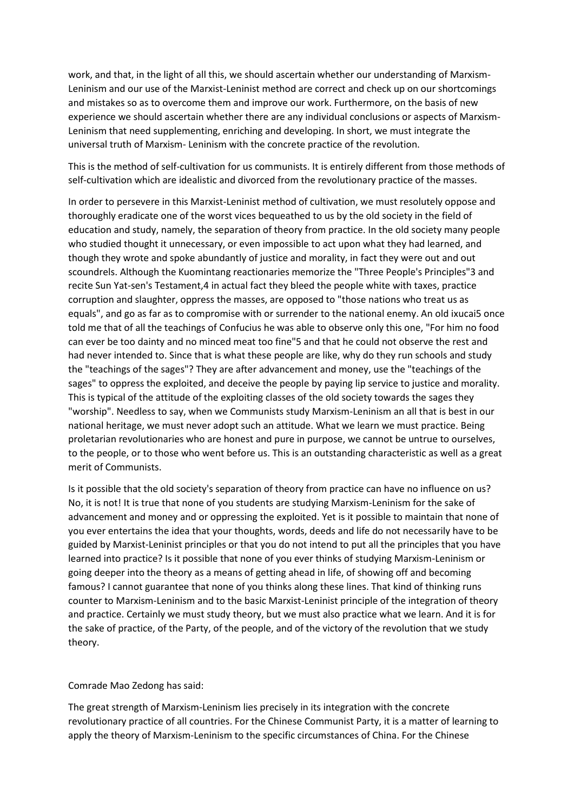work, and that, in the light of all this, we should ascertain whether our understanding of Marxism-Leninism and our use of the Marxist-Leninist method are correct and check up on our shortcomings and mistakes so as to overcome them and improve our work. Furthermore, on the basis of new experience we should ascertain whether there are any individual conclusions or aspects of Marxism-Leninism that need supplementing, enriching and developing. In short, we must integrate the universal truth of Marxism- Leninism with the concrete practice of the revolution.

This is the method of self-cultivation for us communists. It is entirely different from those methods of self-cultivation which are idealistic and divorced from the revolutionary practice of the masses.

In order to persevere in this Marxist-Leninist method of cultivation, we must resolutely oppose and thoroughly eradicate one of the worst vices bequeathed to us by the old society in the field of education and study, namely, the separation of theory from practice. In the old society many people who studied thought it unnecessary, or even impossible to act upon what they had learned, and though they wrote and spoke abundantly of justice and morality, in fact they were out and out scoundrels. Although the Kuomintang reactionaries memorize the "Three People's Principles"3 and recite Sun Yat-sen's Testament,4 in actual fact they bleed the people white with taxes, practice corruption and slaughter, oppress the masses, are opposed to "those nations who treat us as equals", and go as far as to compromise with or surrender to the national enemy. An old ixucai5 once told me that of all the teachings of Confucius he was able to observe only this one, "For him no food can ever be too dainty and no minced meat too fine"5 and that he could not observe the rest and had never intended to. Since that is what these people are like, why do they run schools and study the "teachings of the sages"? They are after advancement and money, use the "teachings of the sages" to oppress the exploited, and deceive the people by paying lip service to justice and morality. This is typical of the attitude of the exploiting classes of the old society towards the sages they "worship". Needless to say, when we Communists study Marxism-Leninism an all that is best in our national heritage, we must never adopt such an attitude. What we learn we must practice. Being proletarian revolutionaries who are honest and pure in purpose, we cannot be untrue to ourselves, to the people, or to those who went before us. This is an outstanding characteristic as well as a great merit of Communists.

Is it possible that the old society's separation of theory from practice can have no influence on us? No, it is not! It is true that none of you students are studying Marxism-Leninism for the sake of advancement and money and or oppressing the exploited. Yet is it possible to maintain that none of you ever entertains the idea that your thoughts, words, deeds and life do not necessarily have to be guided by Marxist-Leninist principles or that you do not intend to put all the principles that you have learned into practice? Is it possible that none of you ever thinks of studying Marxism-Leninism or going deeper into the theory as a means of getting ahead in life, of showing off and becoming famous? I cannot guarantee that none of you thinks along these lines. That kind of thinking runs counter to Marxism-Leninism and to the basic Marxist-Leninist principle of the integration of theory and practice. Certainly we must study theory, but we must also practice what we learn. And it is for the sake of practice, of the Party, of the people, and of the victory of the revolution that we study theory.

Comrade Mao Zedong has said:

The great strength of Marxism-Leninism lies precisely in its integration with the concrete revolutionary practice of all countries. For the Chinese Communist Party, it is a matter of learning to apply the theory of Marxism-Leninism to the specific circumstances of China. For the Chinese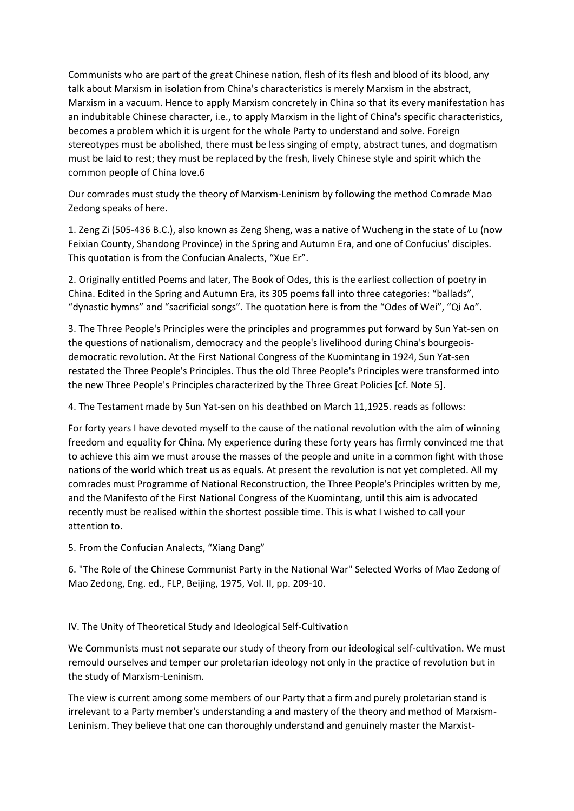Communists who are part of the great Chinese nation, flesh of its flesh and blood of its blood, any talk about Marxism in isolation from China's characteristics is merely Marxism in the abstract, Marxism in a vacuum. Hence to apply Marxism concretely in China so that its every manifestation has an indubitable Chinese character, i.e., to apply Marxism in the light of China's specific characteristics, becomes a problem which it is urgent for the whole Party to understand and solve. Foreign stereotypes must be abolished, there must be less singing of empty, abstract tunes, and dogmatism must be laid to rest; they must be replaced by the fresh, lively Chinese style and spirit which the common people of China love.6

Our comrades must study the theory of Marxism-Leninism by following the method Comrade Mao Zedong speaks of here.

1. Zeng Zi (505-436 B.C.), also known as Zeng Sheng, was a native of Wucheng in the state of Lu (now Feixian County, Shandong Province) in the Spring and Autumn Era, and one of Confucius' disciples. This quotation is from the Confucian Analects, "Xue Er".

2. Originally entitled Poems and later, The Book of Odes, this is the earliest collection of poetry in China. Edited in the Spring and Autumn Era, its 305 poems fall into three categories: "ballads", "dynastic hymns" and "sacrificial songs". The quotation here is from the "Odes of Wei", "Qi Ao".

3. The Three People's Principles were the principles and programmes put forward by Sun Yat-sen on the questions of nationalism, democracy and the people's livelihood during China's bourgeoisdemocratic revolution. At the First National Congress of the Kuomintang in 1924, Sun Yat-sen restated the Three People's Principles. Thus the old Three People's Principles were transformed into the new Three People's Principles characterized by the Three Great Policies [cf. Note 5].

4. The Testament made by Sun Yat-sen on his deathbed on March 11,1925. reads as follows:

For forty years I have devoted myself to the cause of the national revolution with the aim of winning freedom and equality for China. My experience during these forty years has firmly convinced me that to achieve this aim we must arouse the masses of the people and unite in a common fight with those nations of the world which treat us as equals. At present the revolution is not yet completed. All my comrades must Programme of National Reconstruction, the Three People's Principles written by me, and the Manifesto of the First National Congress of the Kuomintang, until this aim is advocated recently must be realised within the shortest possible time. This is what I wished to call your attention to.

5. From the Confucian Analects, "Xiang Dang"

6. "The Role of the Chinese Communist Party in the National War" Selected Works of Mao Zedong of Mao Zedong, Eng. ed., FLP, Beijing, 1975, Vol. II, pp. 209-10.

IV. The Unity of Theoretical Study and Ideological Self-Cultivation

We Communists must not separate our study of theory from our ideological self-cultivation. We must remould ourselves and temper our proletarian ideology not only in the practice of revolution but in the study of Marxism-Leninism.

The view is current among some members of our Party that a firm and purely proletarian stand is irrelevant to a Party member's understanding a and mastery of the theory and method of Marxism-Leninism. They believe that one can thoroughly understand and genuinely master the Marxist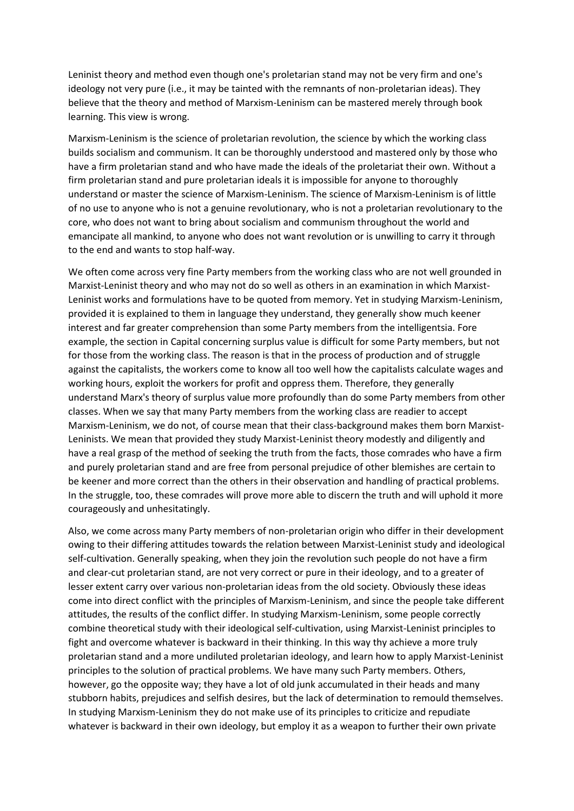Leninist theory and method even though one's proletarian stand may not be very firm and one's ideology not very pure (i.e., it may be tainted with the remnants of non-proletarian ideas). They believe that the theory and method of Marxism-Leninism can be mastered merely through book learning. This view is wrong.

Marxism-Leninism is the science of proletarian revolution, the science by which the working class builds socialism and communism. It can be thoroughly understood and mastered only by those who have a firm proletarian stand and who have made the ideals of the proletariat their own. Without a firm proletarian stand and pure proletarian ideals it is impossible for anyone to thoroughly understand or master the science of Marxism-Leninism. The science of Marxism-Leninism is of little of no use to anyone who is not a genuine revolutionary, who is not a proletarian revolutionary to the core, who does not want to bring about socialism and communism throughout the world and emancipate all mankind, to anyone who does not want revolution or is unwilling to carry it through to the end and wants to stop half-way.

We often come across very fine Party members from the working class who are not well grounded in Marxist-Leninist theory and who may not do so well as others in an examination in which Marxist-Leninist works and formulations have to be quoted from memory. Yet in studying Marxism-Leninism, provided it is explained to them in language they understand, they generally show much keener interest and far greater comprehension than some Party members from the intelligentsia. Fore example, the section in Capital concerning surplus value is difficult for some Party members, but not for those from the working class. The reason is that in the process of production and of struggle against the capitalists, the workers come to know all too well how the capitalists calculate wages and working hours, exploit the workers for profit and oppress them. Therefore, they generally understand Marx's theory of surplus value more profoundly than do some Party members from other classes. When we say that many Party members from the working class are readier to accept Marxism-Leninism, we do not, of course mean that their class-background makes them born Marxist-Leninists. We mean that provided they study Marxist-Leninist theory modestly and diligently and have a real grasp of the method of seeking the truth from the facts, those comrades who have a firm and purely proletarian stand and are free from personal prejudice of other blemishes are certain to be keener and more correct than the others in their observation and handling of practical problems. In the struggle, too, these comrades will prove more able to discern the truth and will uphold it more courageously and unhesitatingly.

Also, we come across many Party members of non-proletarian origin who differ in their development owing to their differing attitudes towards the relation between Marxist-Leninist study and ideological self-cultivation. Generally speaking, when they join the revolution such people do not have a firm and clear-cut proletarian stand, are not very correct or pure in their ideology, and to a greater of lesser extent carry over various non-proletarian ideas from the old society. Obviously these ideas come into direct conflict with the principles of Marxism-Leninism, and since the people take different attitudes, the results of the conflict differ. In studying Marxism-Leninism, some people correctly combine theoretical study with their ideological self-cultivation, using Marxist-Leninist principles to fight and overcome whatever is backward in their thinking. In this way thy achieve a more truly proletarian stand and a more undiluted proletarian ideology, and learn how to apply Marxist-Leninist principles to the solution of practical problems. We have many such Party members. Others, however, go the opposite way; they have a lot of old junk accumulated in their heads and many stubborn habits, prejudices and selfish desires, but the lack of determination to remould themselves. In studying Marxism-Leninism they do not make use of its principles to criticize and repudiate whatever is backward in their own ideology, but employ it as a weapon to further their own private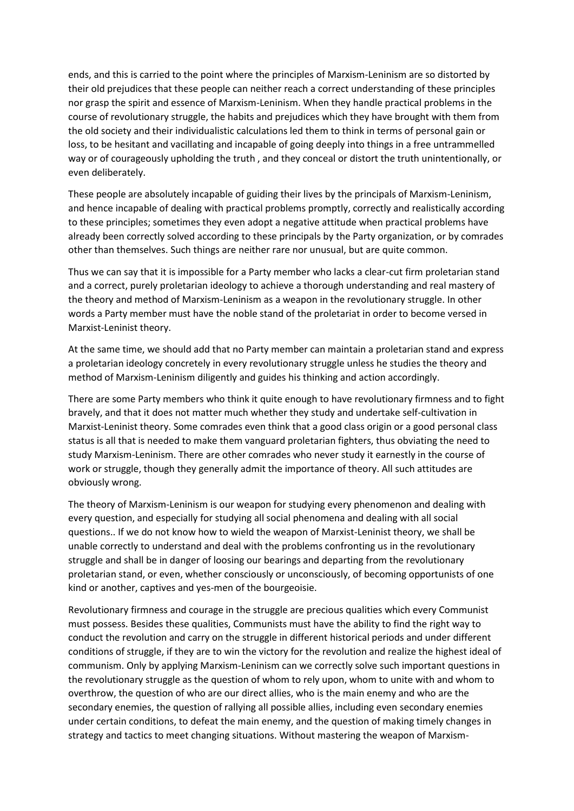ends, and this is carried to the point where the principles of Marxism-Leninism are so distorted by their old prejudices that these people can neither reach a correct understanding of these principles nor grasp the spirit and essence of Marxism-Leninism. When they handle practical problems in the course of revolutionary struggle, the habits and prejudices which they have brought with them from the old society and their individualistic calculations led them to think in terms of personal gain or loss, to be hesitant and vacillating and incapable of going deeply into things in a free untrammelled way or of courageously upholding the truth , and they conceal or distort the truth unintentionally, or even deliberately.

These people are absolutely incapable of guiding their lives by the principals of Marxism-Leninism, and hence incapable of dealing with practical problems promptly, correctly and realistically according to these principles; sometimes they even adopt a negative attitude when practical problems have already been correctly solved according to these principals by the Party organization, or by comrades other than themselves. Such things are neither rare nor unusual, but are quite common.

Thus we can say that it is impossible for a Party member who lacks a clear-cut firm proletarian stand and a correct, purely proletarian ideology to achieve a thorough understanding and real mastery of the theory and method of Marxism-Leninism as a weapon in the revolutionary struggle. In other words a Party member must have the noble stand of the proletariat in order to become versed in Marxist-Leninist theory.

At the same time, we should add that no Party member can maintain a proletarian stand and express a proletarian ideology concretely in every revolutionary struggle unless he studies the theory and method of Marxism-Leninism diligently and guides his thinking and action accordingly.

There are some Party members who think it quite enough to have revolutionary firmness and to fight bravely, and that it does not matter much whether they study and undertake self-cultivation in Marxist-Leninist theory. Some comrades even think that a good class origin or a good personal class status is all that is needed to make them vanguard proletarian fighters, thus obviating the need to study Marxism-Leninism. There are other comrades who never study it earnestly in the course of work or struggle, though they generally admit the importance of theory. All such attitudes are obviously wrong.

The theory of Marxism-Leninism is our weapon for studying every phenomenon and dealing with every question, and especially for studying all social phenomena and dealing with all social questions.. If we do not know how to wield the weapon of Marxist-Leninist theory, we shall be unable correctly to understand and deal with the problems confronting us in the revolutionary struggle and shall be in danger of loosing our bearings and departing from the revolutionary proletarian stand, or even, whether consciously or unconsciously, of becoming opportunists of one kind or another, captives and yes-men of the bourgeoisie.

Revolutionary firmness and courage in the struggle are precious qualities which every Communist must possess. Besides these qualities, Communists must have the ability to find the right way to conduct the revolution and carry on the struggle in different historical periods and under different conditions of struggle, if they are to win the victory for the revolution and realize the highest ideal of communism. Only by applying Marxism-Leninism can we correctly solve such important questions in the revolutionary struggle as the question of whom to rely upon, whom to unite with and whom to overthrow, the question of who are our direct allies, who is the main enemy and who are the secondary enemies, the question of rallying all possible allies, including even secondary enemies under certain conditions, to defeat the main enemy, and the question of making timely changes in strategy and tactics to meet changing situations. Without mastering the weapon of Marxism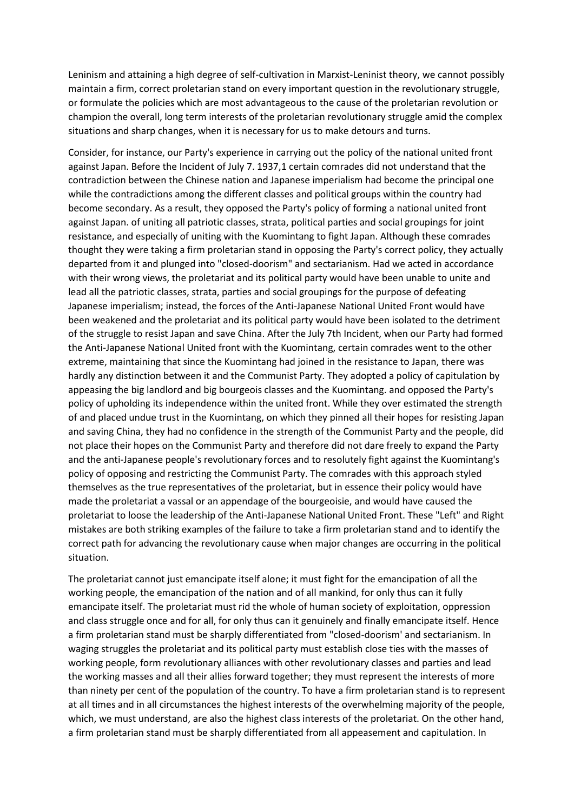Leninism and attaining a high degree of self-cultivation in Marxist-Leninist theory, we cannot possibly maintain a firm, correct proletarian stand on every important question in the revolutionary struggle, or formulate the policies which are most advantageous to the cause of the proletarian revolution or champion the overall, long term interests of the proletarian revolutionary struggle amid the complex situations and sharp changes, when it is necessary for us to make detours and turns.

Consider, for instance, our Party's experience in carrying out the policy of the national united front against Japan. Before the Incident of July 7. 1937,1 certain comrades did not understand that the contradiction between the Chinese nation and Japanese imperialism had become the principal one while the contradictions among the different classes and political groups within the country had become secondary. As a result, they opposed the Party's policy of forming a national united front against Japan. of uniting all patriotic classes, strata, political parties and social groupings for joint resistance, and especially of uniting with the Kuomintang to fight Japan. Although these comrades thought they were taking a firm proletarian stand in opposing the Party's correct policy, they actually departed from it and plunged into "closed-doorism" and sectarianism. Had we acted in accordance with their wrong views, the proletariat and its political party would have been unable to unite and lead all the patriotic classes, strata, parties and social groupings for the purpose of defeating Japanese imperialism; instead, the forces of the Anti-Japanese National United Front would have been weakened and the proletariat and its political party would have been isolated to the detriment of the struggle to resist Japan and save China. After the July 7th Incident, when our Party had formed the Anti-Japanese National United front with the Kuomintang, certain comrades went to the other extreme, maintaining that since the Kuomintang had joined in the resistance to Japan, there was hardly any distinction between it and the Communist Party. They adopted a policy of capitulation by appeasing the big landlord and big bourgeois classes and the Kuomintang. and opposed the Party's policy of upholding its independence within the united front. While they over estimated the strength of and placed undue trust in the Kuomintang, on which they pinned all their hopes for resisting Japan and saving China, they had no confidence in the strength of the Communist Party and the people, did not place their hopes on the Communist Party and therefore did not dare freely to expand the Party and the anti-Japanese people's revolutionary forces and to resolutely fight against the Kuomintang's policy of opposing and restricting the Communist Party. The comrades with this approach styled themselves as the true representatives of the proletariat, but in essence their policy would have made the proletariat a vassal or an appendage of the bourgeoisie, and would have caused the proletariat to loose the leadership of the Anti-Japanese National United Front. These "Left" and Right mistakes are both striking examples of the failure to take a firm proletarian stand and to identify the correct path for advancing the revolutionary cause when major changes are occurring in the political situation.

The proletariat cannot just emancipate itself alone; it must fight for the emancipation of all the working people, the emancipation of the nation and of all mankind, for only thus can it fully emancipate itself. The proletariat must rid the whole of human society of exploitation, oppression and class struggle once and for all, for only thus can it genuinely and finally emancipate itself. Hence a firm proletarian stand must be sharply differentiated from "closed-doorism' and sectarianism. In waging struggles the proletariat and its political party must establish close ties with the masses of working people, form revolutionary alliances with other revolutionary classes and parties and lead the working masses and all their allies forward together; they must represent the interests of more than ninety per cent of the population of the country. To have a firm proletarian stand is to represent at all times and in all circumstances the highest interests of the overwhelming majority of the people, which, we must understand, are also the highest class interests of the proletariat. On the other hand, a firm proletarian stand must be sharply differentiated from all appeasement and capitulation. In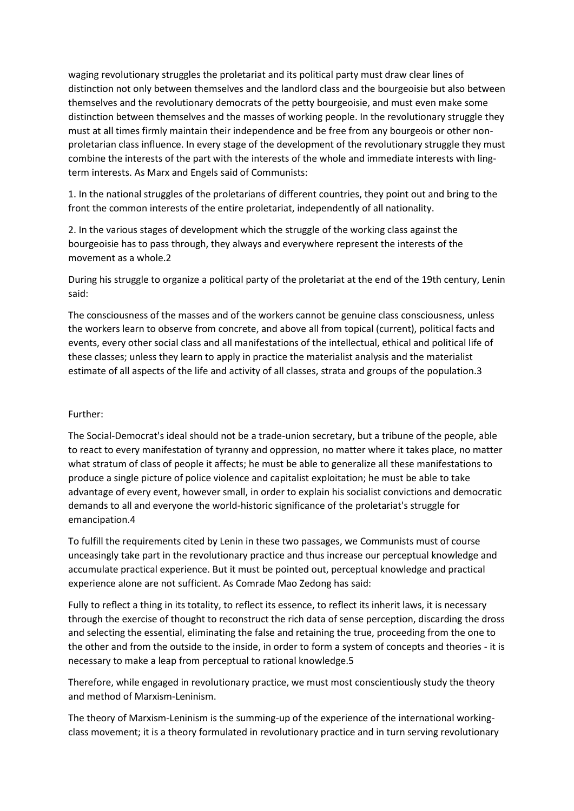waging revolutionary struggles the proletariat and its political party must draw clear lines of distinction not only between themselves and the landlord class and the bourgeoisie but also between themselves and the revolutionary democrats of the petty bourgeoisie, and must even make some distinction between themselves and the masses of working people. In the revolutionary struggle they must at all times firmly maintain their independence and be free from any bourgeois or other nonproletarian class influence. In every stage of the development of the revolutionary struggle they must combine the interests of the part with the interests of the whole and immediate interests with lingterm interests. As Marx and Engels said of Communists:

1. In the national struggles of the proletarians of different countries, they point out and bring to the front the common interests of the entire proletariat, independently of all nationality.

2. In the various stages of development which the struggle of the working class against the bourgeoisie has to pass through, they always and everywhere represent the interests of the movement as a whole.2

During his struggle to organize a political party of the proletariat at the end of the 19th century, Lenin said:

The consciousness of the masses and of the workers cannot be genuine class consciousness, unless the workers learn to observe from concrete, and above all from topical (current), political facts and events, every other social class and all manifestations of the intellectual, ethical and political life of these classes; unless they learn to apply in practice the materialist analysis and the materialist estimate of all aspects of the life and activity of all classes, strata and groups of the population.3

# Further:

The Social-Democrat's ideal should not be a trade-union secretary, but a tribune of the people, able to react to every manifestation of tyranny and oppression, no matter where it takes place, no matter what stratum of class of people it affects; he must be able to generalize all these manifestations to produce a single picture of police violence and capitalist exploitation; he must be able to take advantage of every event, however small, in order to explain his socialist convictions and democratic demands to all and everyone the world-historic significance of the proletariat's struggle for emancipation.4

To fulfill the requirements cited by Lenin in these two passages, we Communists must of course unceasingly take part in the revolutionary practice and thus increase our perceptual knowledge and accumulate practical experience. But it must be pointed out, perceptual knowledge and practical experience alone are not sufficient. As Comrade Mao Zedong has said:

Fully to reflect a thing in its totality, to reflect its essence, to reflect its inherit laws, it is necessary through the exercise of thought to reconstruct the rich data of sense perception, discarding the dross and selecting the essential, eliminating the false and retaining the true, proceeding from the one to the other and from the outside to the inside, in order to form a system of concepts and theories - it is necessary to make a leap from perceptual to rational knowledge.5

Therefore, while engaged in revolutionary practice, we must most conscientiously study the theory and method of Marxism-Leninism.

The theory of Marxism-Leninism is the summing-up of the experience of the international workingclass movement; it is a theory formulated in revolutionary practice and in turn serving revolutionary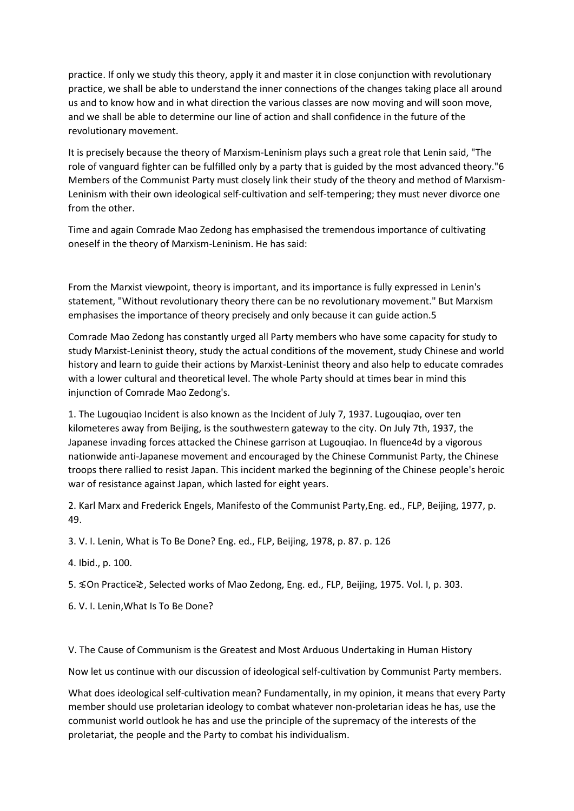practice. If only we study this theory, apply it and master it in close conjunction with revolutionary practice, we shall be able to understand the inner connections of the changes taking place all around us and to know how and in what direction the various classes are now moving and will soon move, and we shall be able to determine our line of action and shall confidence in the future of the revolutionary movement.

It is precisely because the theory of Marxism-Leninism plays such a great role that Lenin said, "The role of vanguard fighter can be fulfilled only by a party that is guided by the most advanced theory."6 Members of the Communist Party must closely link their study of the theory and method of Marxism-Leninism with their own ideological self-cultivation and self-tempering; they must never divorce one from the other.

Time and again Comrade Mao Zedong has emphasised the tremendous importance of cultivating oneself in the theory of Marxism-Leninism. He has said:

From the Marxist viewpoint, theory is important, and its importance is fully expressed in Lenin's statement, "Without revolutionary theory there can be no revolutionary movement." But Marxism emphasises the importance of theory precisely and only because it can guide action.5

Comrade Mao Zedong has constantly urged all Party members who have some capacity for study to study Marxist-Leninist theory, study the actual conditions of the movement, study Chinese and world history and learn to guide their actions by Marxist-Leninist theory and also help to educate comrades with a lower cultural and theoretical level. The whole Party should at times bear in mind this injunction of Comrade Mao Zedong's.

1. The Lugouqiao Incident is also known as the Incident of July 7, 1937. Lugouqiao, over ten kilometeres away from Beijing, is the southwestern gateway to the city. On July 7th, 1937, the Japanese invading forces attacked the Chinese garrison at Lugouqiao. In fluence4d by a vigorous nationwide anti-Japanese movement and encouraged by the Chinese Communist Party, the Chinese troops there rallied to resist Japan. This incident marked the beginning of the Chinese people's heroic war of resistance against Japan, which lasted for eight years.

2. Karl Marx and Frederick Engels, Manifesto of the Communist Party,Eng. ed., FLP, Beijing, 1977, p. 49.

3. V. I. Lenin, What is To Be Done? Eng. ed., FLP, Beijing, 1978, p. 87. p. 126

4. Ibid., p. 100.

5. ≴On Practice≵, Selected works of Mao Zedong, Eng. ed., FLP, Beijing, 1975. Vol. I, p. 303.

6. V. I. Lenin,What Is To Be Done?

V. The Cause of Communism is the Greatest and Most Arduous Undertaking in Human History

Now let us continue with our discussion of ideological self-cultivation by Communist Party members.

What does ideological self-cultivation mean? Fundamentally, in my opinion, it means that every Party member should use proletarian ideology to combat whatever non-proletarian ideas he has, use the communist world outlook he has and use the principle of the supremacy of the interests of the proletariat, the people and the Party to combat his individualism.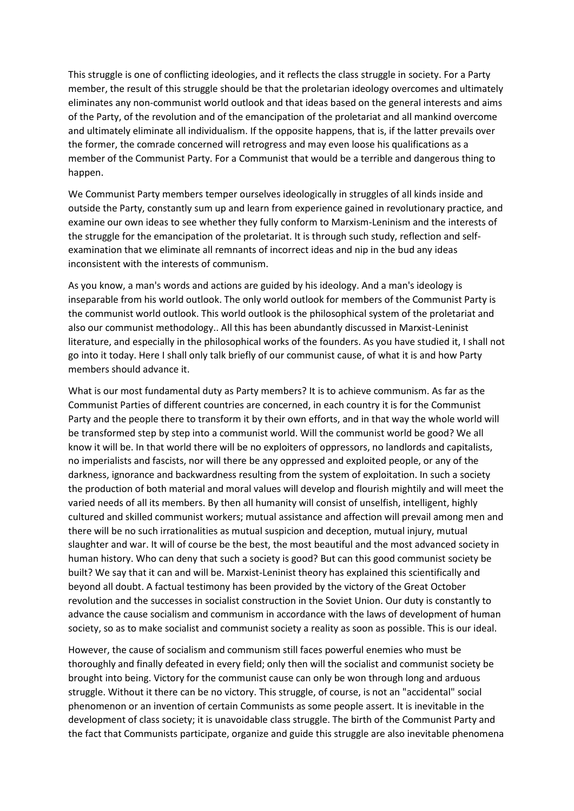This struggle is one of conflicting ideologies, and it reflects the class struggle in society. For a Party member, the result of this struggle should be that the proletarian ideology overcomes and ultimately eliminates any non-communist world outlook and that ideas based on the general interests and aims of the Party, of the revolution and of the emancipation of the proletariat and all mankind overcome and ultimately eliminate all individualism. If the opposite happens, that is, if the latter prevails over the former, the comrade concerned will retrogress and may even loose his qualifications as a member of the Communist Party. For a Communist that would be a terrible and dangerous thing to happen.

We Communist Party members temper ourselves ideologically in struggles of all kinds inside and outside the Party, constantly sum up and learn from experience gained in revolutionary practice, and examine our own ideas to see whether they fully conform to Marxism-Leninism and the interests of the struggle for the emancipation of the proletariat. It is through such study, reflection and selfexamination that we eliminate all remnants of incorrect ideas and nip in the bud any ideas inconsistent with the interests of communism.

As you know, a man's words and actions are guided by his ideology. And a man's ideology is inseparable from his world outlook. The only world outlook for members of the Communist Party is the communist world outlook. This world outlook is the philosophical system of the proletariat and also our communist methodology.. All this has been abundantly discussed in Marxist-Leninist literature, and especially in the philosophical works of the founders. As you have studied it, I shall not go into it today. Here I shall only talk briefly of our communist cause, of what it is and how Party members should advance it.

What is our most fundamental duty as Party members? It is to achieve communism. As far as the Communist Parties of different countries are concerned, in each country it is for the Communist Party and the people there to transform it by their own efforts, and in that way the whole world will be transformed step by step into a communist world. Will the communist world be good? We all know it will be. In that world there will be no exploiters of oppressors, no landlords and capitalists, no imperialists and fascists, nor will there be any oppressed and exploited people, or any of the darkness, ignorance and backwardness resulting from the system of exploitation. In such a society the production of both material and moral values will develop and flourish mightily and will meet the varied needs of all its members. By then all humanity will consist of unselfish, intelligent, highly cultured and skilled communist workers; mutual assistance and affection will prevail among men and there will be no such irrationalities as mutual suspicion and deception, mutual injury, mutual slaughter and war. It will of course be the best, the most beautiful and the most advanced society in human history. Who can deny that such a society is good? But can this good communist society be built? We say that it can and will be. Marxist-Leninist theory has explained this scientifically and beyond all doubt. A factual testimony has been provided by the victory of the Great October revolution and the successes in socialist construction in the Soviet Union. Our duty is constantly to advance the cause socialism and communism in accordance with the laws of development of human society, so as to make socialist and communist society a reality as soon as possible. This is our ideal.

However, the cause of socialism and communism still faces powerful enemies who must be thoroughly and finally defeated in every field; only then will the socialist and communist society be brought into being. Victory for the communist cause can only be won through long and arduous struggle. Without it there can be no victory. This struggle, of course, is not an "accidental" social phenomenon or an invention of certain Communists as some people assert. It is inevitable in the development of class society; it is unavoidable class struggle. The birth of the Communist Party and the fact that Communists participate, organize and guide this struggle are also inevitable phenomena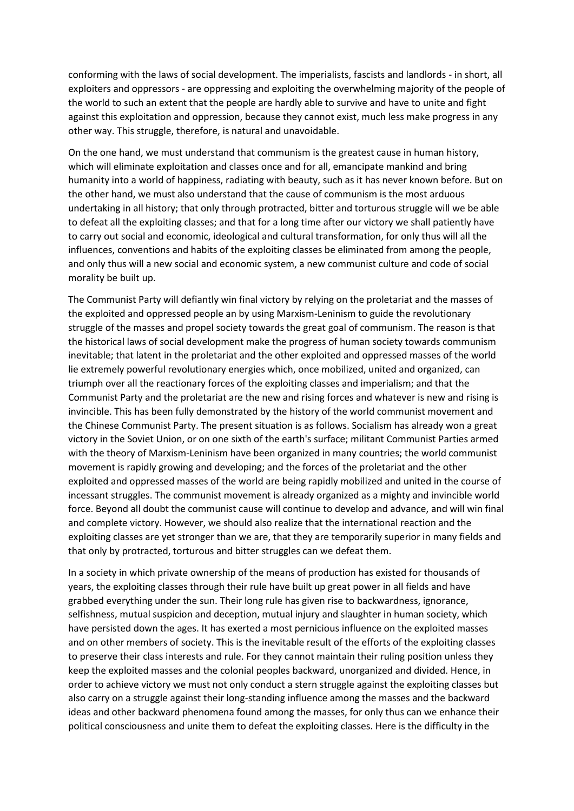conforming with the laws of social development. The imperialists, fascists and landlords - in short, all exploiters and oppressors - are oppressing and exploiting the overwhelming majority of the people of the world to such an extent that the people are hardly able to survive and have to unite and fight against this exploitation and oppression, because they cannot exist, much less make progress in any other way. This struggle, therefore, is natural and unavoidable.

On the one hand, we must understand that communism is the greatest cause in human history, which will eliminate exploitation and classes once and for all, emancipate mankind and bring humanity into a world of happiness, radiating with beauty, such as it has never known before. But on the other hand, we must also understand that the cause of communism is the most arduous undertaking in all history; that only through protracted, bitter and torturous struggle will we be able to defeat all the exploiting classes; and that for a long time after our victory we shall patiently have to carry out social and economic, ideological and cultural transformation, for only thus will all the influences, conventions and habits of the exploiting classes be eliminated from among the people, and only thus will a new social and economic system, a new communist culture and code of social morality be built up.

The Communist Party will defiantly win final victory by relying on the proletariat and the masses of the exploited and oppressed people an by using Marxism-Leninism to guide the revolutionary struggle of the masses and propel society towards the great goal of communism. The reason is that the historical laws of social development make the progress of human society towards communism inevitable; that latent in the proletariat and the other exploited and oppressed masses of the world lie extremely powerful revolutionary energies which, once mobilized, united and organized, can triumph over all the reactionary forces of the exploiting classes and imperialism; and that the Communist Party and the proletariat are the new and rising forces and whatever is new and rising is invincible. This has been fully demonstrated by the history of the world communist movement and the Chinese Communist Party. The present situation is as follows. Socialism has already won a great victory in the Soviet Union, or on one sixth of the earth's surface; militant Communist Parties armed with the theory of Marxism-Leninism have been organized in many countries; the world communist movement is rapidly growing and developing; and the forces of the proletariat and the other exploited and oppressed masses of the world are being rapidly mobilized and united in the course of incessant struggles. The communist movement is already organized as a mighty and invincible world force. Beyond all doubt the communist cause will continue to develop and advance, and will win final and complete victory. However, we should also realize that the international reaction and the exploiting classes are yet stronger than we are, that they are temporarily superior in many fields and that only by protracted, torturous and bitter struggles can we defeat them.

In a society in which private ownership of the means of production has existed for thousands of years, the exploiting classes through their rule have built up great power in all fields and have grabbed everything under the sun. Their long rule has given rise to backwardness, ignorance, selfishness, mutual suspicion and deception, mutual injury and slaughter in human society, which have persisted down the ages. It has exerted a most pernicious influence on the exploited masses and on other members of society. This is the inevitable result of the efforts of the exploiting classes to preserve their class interests and rule. For they cannot maintain their ruling position unless they keep the exploited masses and the colonial peoples backward, unorganized and divided. Hence, in order to achieve victory we must not only conduct a stern struggle against the exploiting classes but also carry on a struggle against their long-standing influence among the masses and the backward ideas and other backward phenomena found among the masses, for only thus can we enhance their political consciousness and unite them to defeat the exploiting classes. Here is the difficulty in the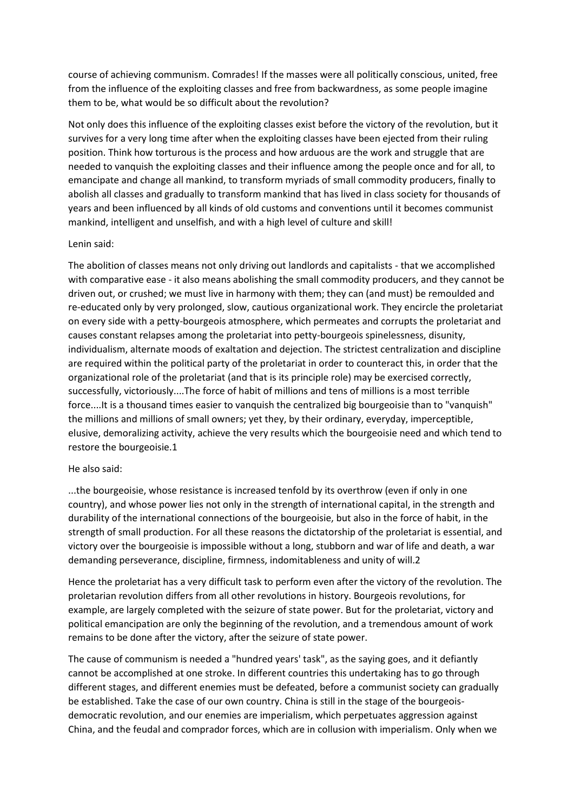course of achieving communism. Comrades! If the masses were all politically conscious, united, free from the influence of the exploiting classes and free from backwardness, as some people imagine them to be, what would be so difficult about the revolution?

Not only does this influence of the exploiting classes exist before the victory of the revolution, but it survives for a very long time after when the exploiting classes have been ejected from their ruling position. Think how torturous is the process and how arduous are the work and struggle that are needed to vanquish the exploiting classes and their influence among the people once and for all, to emancipate and change all mankind, to transform myriads of small commodity producers, finally to abolish all classes and gradually to transform mankind that has lived in class society for thousands of years and been influenced by all kinds of old customs and conventions until it becomes communist mankind, intelligent and unselfish, and with a high level of culture and skill!

### Lenin said:

The abolition of classes means not only driving out landlords and capitalists - that we accomplished with comparative ease - it also means abolishing the small commodity producers, and they cannot be driven out, or crushed; we must live in harmony with them; they can (and must) be remoulded and re-educated only by very prolonged, slow, cautious organizational work. They encircle the proletariat on every side with a petty-bourgeois atmosphere, which permeates and corrupts the proletariat and causes constant relapses among the proletariat into petty-bourgeois spinelessness, disunity, individualism, alternate moods of exaltation and dejection. The strictest centralization and discipline are required within the political party of the proletariat in order to counteract this, in order that the organizational role of the proletariat (and that is its principle role) may be exercised correctly, successfully, victoriously....The force of habit of millions and tens of millions is a most terrible force....It is a thousand times easier to vanquish the centralized big bourgeoisie than to "vanquish" the millions and millions of small owners; yet they, by their ordinary, everyday, imperceptible, elusive, demoralizing activity, achieve the very results which the bourgeoisie need and which tend to restore the bourgeoisie.1

#### He also said:

...the bourgeoisie, whose resistance is increased tenfold by its overthrow (even if only in one country), and whose power lies not only in the strength of international capital, in the strength and durability of the international connections of the bourgeoisie, but also in the force of habit, in the strength of small production. For all these reasons the dictatorship of the proletariat is essential, and victory over the bourgeoisie is impossible without a long, stubborn and war of life and death, a war demanding perseverance, discipline, firmness, indomitableness and unity of will.2

Hence the proletariat has a very difficult task to perform even after the victory of the revolution. The proletarian revolution differs from all other revolutions in history. Bourgeois revolutions, for example, are largely completed with the seizure of state power. But for the proletariat, victory and political emancipation are only the beginning of the revolution, and a tremendous amount of work remains to be done after the victory, after the seizure of state power.

The cause of communism is needed a "hundred years' task", as the saying goes, and it defiantly cannot be accomplished at one stroke. In different countries this undertaking has to go through different stages, and different enemies must be defeated, before a communist society can gradually be established. Take the case of our own country. China is still in the stage of the bourgeoisdemocratic revolution, and our enemies are imperialism, which perpetuates aggression against China, and the feudal and comprador forces, which are in collusion with imperialism. Only when we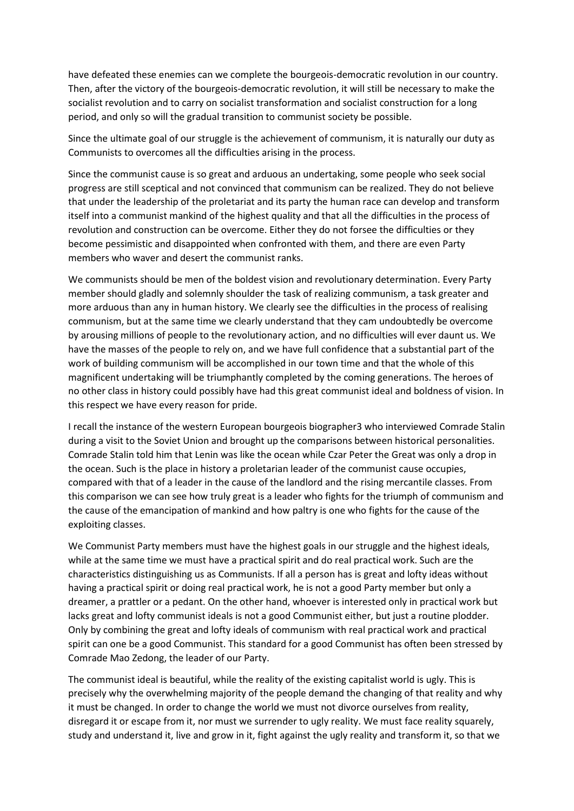have defeated these enemies can we complete the bourgeois-democratic revolution in our country. Then, after the victory of the bourgeois-democratic revolution, it will still be necessary to make the socialist revolution and to carry on socialist transformation and socialist construction for a long period, and only so will the gradual transition to communist society be possible.

Since the ultimate goal of our struggle is the achievement of communism, it is naturally our duty as Communists to overcomes all the difficulties arising in the process.

Since the communist cause is so great and arduous an undertaking, some people who seek social progress are still sceptical and not convinced that communism can be realized. They do not believe that under the leadership of the proletariat and its party the human race can develop and transform itself into a communist mankind of the highest quality and that all the difficulties in the process of revolution and construction can be overcome. Either they do not forsee the difficulties or they become pessimistic and disappointed when confronted with them, and there are even Party members who waver and desert the communist ranks.

We communists should be men of the boldest vision and revolutionary determination. Every Party member should gladly and solemnly shoulder the task of realizing communism, a task greater and more arduous than any in human history. We clearly see the difficulties in the process of realising communism, but at the same time we clearly understand that they cam undoubtedly be overcome by arousing millions of people to the revolutionary action, and no difficulties will ever daunt us. We have the masses of the people to rely on, and we have full confidence that a substantial part of the work of building communism will be accomplished in our town time and that the whole of this magnificent undertaking will be triumphantly completed by the coming generations. The heroes of no other class in history could possibly have had this great communist ideal and boldness of vision. In this respect we have every reason for pride.

I recall the instance of the western European bourgeois biographer3 who interviewed Comrade Stalin during a visit to the Soviet Union and brought up the comparisons between historical personalities. Comrade Stalin told him that Lenin was like the ocean while Czar Peter the Great was only a drop in the ocean. Such is the place in history a proletarian leader of the communist cause occupies, compared with that of a leader in the cause of the landlord and the rising mercantile classes. From this comparison we can see how truly great is a leader who fights for the triumph of communism and the cause of the emancipation of mankind and how paltry is one who fights for the cause of the exploiting classes.

We Communist Party members must have the highest goals in our struggle and the highest ideals, while at the same time we must have a practical spirit and do real practical work. Such are the characteristics distinguishing us as Communists. If all a person has is great and lofty ideas without having a practical spirit or doing real practical work, he is not a good Party member but only a dreamer, a prattler or a pedant. On the other hand, whoever is interested only in practical work but lacks great and lofty communist ideals is not a good Communist either, but just a routine plodder. Only by combining the great and lofty ideals of communism with real practical work and practical spirit can one be a good Communist. This standard for a good Communist has often been stressed by Comrade Mao Zedong, the leader of our Party.

The communist ideal is beautiful, while the reality of the existing capitalist world is ugly. This is precisely why the overwhelming majority of the people demand the changing of that reality and why it must be changed. In order to change the world we must not divorce ourselves from reality, disregard it or escape from it, nor must we surrender to ugly reality. We must face reality squarely, study and understand it, live and grow in it, fight against the ugly reality and transform it, so that we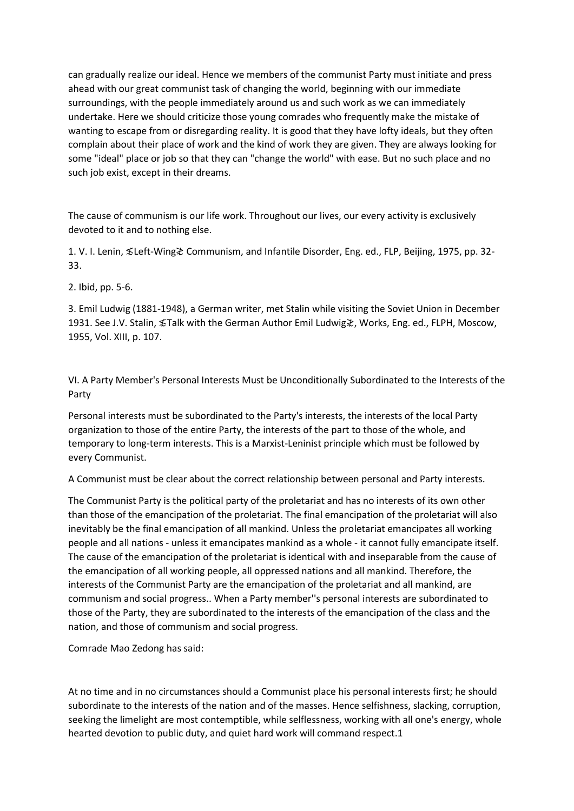can gradually realize our ideal. Hence we members of the communist Party must initiate and press ahead with our great communist task of changing the world, beginning with our immediate surroundings, with the people immediately around us and such work as we can immediately undertake. Here we should criticize those young comrades who frequently make the mistake of wanting to escape from or disregarding reality. It is good that they have lofty ideals, but they often complain about their place of work and the kind of work they are given. They are always looking for some "ideal" place or job so that they can "change the world" with ease. But no such place and no such job exist, except in their dreams.

The cause of communism is our life work. Throughout our lives, our every activity is exclusively devoted to it and to nothing else.

1. V. I. Lenin, ≴Left-Wing≵ Communism, and Infantile Disorder, Eng. ed., FLP, Beijing, 1975, pp. 32- 33.

2. Ibid, pp. 5-6.

3. Emil Ludwig (1881-1948), a German writer, met Stalin while visiting the Soviet Union in December 1931. See J.V. Stalin, ≴Talk with the German Author Emil Ludwig≵, Works, Eng. ed., FLPH, Moscow, 1955, Vol. XIII, p. 107.

VI. A Party Member's Personal Interests Must be Unconditionally Subordinated to the Interests of the Party

Personal interests must be subordinated to the Party's interests, the interests of the local Party organization to those of the entire Party, the interests of the part to those of the whole, and temporary to long-term interests. This is a Marxist-Leninist principle which must be followed by every Communist.

A Communist must be clear about the correct relationship between personal and Party interests.

The Communist Party is the political party of the proletariat and has no interests of its own other than those of the emancipation of the proletariat. The final emancipation of the proletariat will also inevitably be the final emancipation of all mankind. Unless the proletariat emancipates all working people and all nations - unless it emancipates mankind as a whole - it cannot fully emancipate itself. The cause of the emancipation of the proletariat is identical with and inseparable from the cause of the emancipation of all working people, all oppressed nations and all mankind. Therefore, the interests of the Communist Party are the emancipation of the proletariat and all mankind, are communism and social progress.. When a Party member''s personal interests are subordinated to those of the Party, they are subordinated to the interests of the emancipation of the class and the nation, and those of communism and social progress.

Comrade Mao Zedong has said:

At no time and in no circumstances should a Communist place his personal interests first; he should subordinate to the interests of the nation and of the masses. Hence selfishness, slacking, corruption, seeking the limelight are most contemptible, while selflessness, working with all one's energy, whole hearted devotion to public duty, and quiet hard work will command respect.1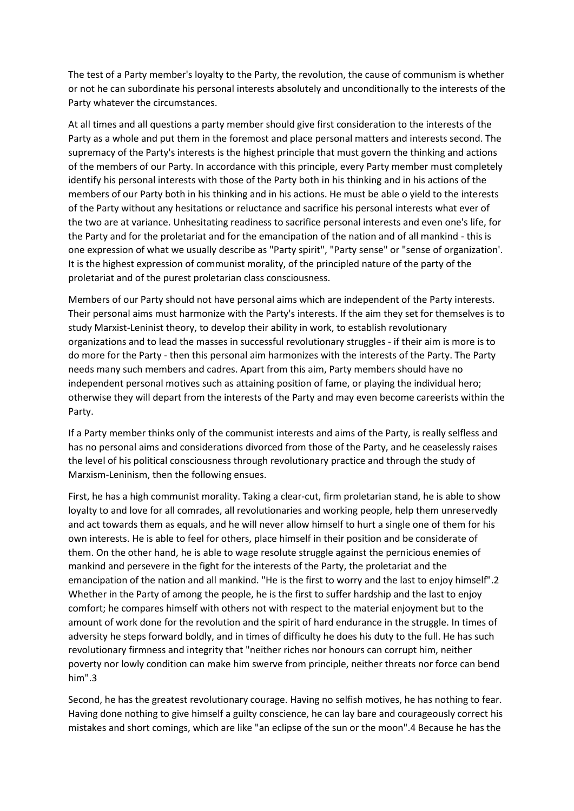The test of a Party member's loyalty to the Party, the revolution, the cause of communism is whether or not he can subordinate his personal interests absolutely and unconditionally to the interests of the Party whatever the circumstances.

At all times and all questions a party member should give first consideration to the interests of the Party as a whole and put them in the foremost and place personal matters and interests second. The supremacy of the Party's interests is the highest principle that must govern the thinking and actions of the members of our Party. In accordance with this principle, every Party member must completely identify his personal interests with those of the Party both in his thinking and in his actions of the members of our Party both in his thinking and in his actions. He must be able o yield to the interests of the Party without any hesitations or reluctance and sacrifice his personal interests what ever of the two are at variance. Unhesitating readiness to sacrifice personal interests and even one's life, for the Party and for the proletariat and for the emancipation of the nation and of all mankind - this is one expression of what we usually describe as "Party spirit", "Party sense" or "sense of organization'. It is the highest expression of communist morality, of the principled nature of the party of the proletariat and of the purest proletarian class consciousness.

Members of our Party should not have personal aims which are independent of the Party interests. Their personal aims must harmonize with the Party's interests. If the aim they set for themselves is to study Marxist-Leninist theory, to develop their ability in work, to establish revolutionary organizations and to lead the masses in successful revolutionary struggles - if their aim is more is to do more for the Party - then this personal aim harmonizes with the interests of the Party. The Party needs many such members and cadres. Apart from this aim, Party members should have no independent personal motives such as attaining position of fame, or playing the individual hero; otherwise they will depart from the interests of the Party and may even become careerists within the Party.

If a Party member thinks only of the communist interests and aims of the Party, is really selfless and has no personal aims and considerations divorced from those of the Party, and he ceaselessly raises the level of his political consciousness through revolutionary practice and through the study of Marxism-Leninism, then the following ensues.

First, he has a high communist morality. Taking a clear-cut, firm proletarian stand, he is able to show loyalty to and love for all comrades, all revolutionaries and working people, help them unreservedly and act towards them as equals, and he will never allow himself to hurt a single one of them for his own interests. He is able to feel for others, place himself in their position and be considerate of them. On the other hand, he is able to wage resolute struggle against the pernicious enemies of mankind and persevere in the fight for the interests of the Party, the proletariat and the emancipation of the nation and all mankind. "He is the first to worry and the last to enjoy himself".2 Whether in the Party of among the people, he is the first to suffer hardship and the last to enjoy comfort; he compares himself with others not with respect to the material enjoyment but to the amount of work done for the revolution and the spirit of hard endurance in the struggle. In times of adversity he steps forward boldly, and in times of difficulty he does his duty to the full. He has such revolutionary firmness and integrity that "neither riches nor honours can corrupt him, neither poverty nor lowly condition can make him swerve from principle, neither threats nor force can bend him".3

Second, he has the greatest revolutionary courage. Having no selfish motives, he has nothing to fear. Having done nothing to give himself a guilty conscience, he can lay bare and courageously correct his mistakes and short comings, which are like "an eclipse of the sun or the moon".4 Because he has the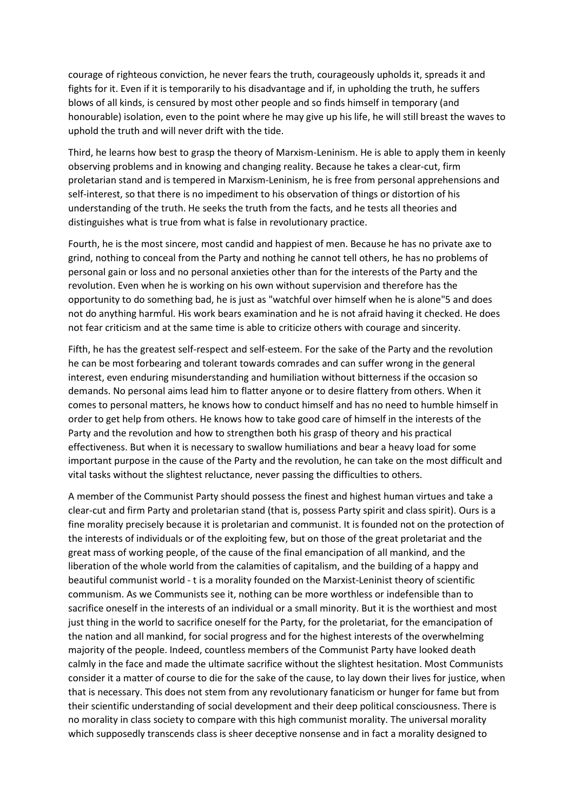courage of righteous conviction, he never fears the truth, courageously upholds it, spreads it and fights for it. Even if it is temporarily to his disadvantage and if, in upholding the truth, he suffers blows of all kinds, is censured by most other people and so finds himself in temporary (and honourable) isolation, even to the point where he may give up his life, he will still breast the waves to uphold the truth and will never drift with the tide.

Third, he learns how best to grasp the theory of Marxism-Leninism. He is able to apply them in keenly observing problems and in knowing and changing reality. Because he takes a clear-cut, firm proletarian stand and is tempered in Marxism-Leninism, he is free from personal apprehensions and self-interest, so that there is no impediment to his observation of things or distortion of his understanding of the truth. He seeks the truth from the facts, and he tests all theories and distinguishes what is true from what is false in revolutionary practice.

Fourth, he is the most sincere, most candid and happiest of men. Because he has no private axe to grind, nothing to conceal from the Party and nothing he cannot tell others, he has no problems of personal gain or loss and no personal anxieties other than for the interests of the Party and the revolution. Even when he is working on his own without supervision and therefore has the opportunity to do something bad, he is just as "watchful over himself when he is alone"5 and does not do anything harmful. His work bears examination and he is not afraid having it checked. He does not fear criticism and at the same time is able to criticize others with courage and sincerity.

Fifth, he has the greatest self-respect and self-esteem. For the sake of the Party and the revolution he can be most forbearing and tolerant towards comrades and can suffer wrong in the general interest, even enduring misunderstanding and humiliation without bitterness if the occasion so demands. No personal aims lead him to flatter anyone or to desire flattery from others. When it comes to personal matters, he knows how to conduct himself and has no need to humble himself in order to get help from others. He knows how to take good care of himself in the interests of the Party and the revolution and how to strengthen both his grasp of theory and his practical effectiveness. But when it is necessary to swallow humiliations and bear a heavy load for some important purpose in the cause of the Party and the revolution, he can take on the most difficult and vital tasks without the slightest reluctance, never passing the difficulties to others.

A member of the Communist Party should possess the finest and highest human virtues and take a clear-cut and firm Party and proletarian stand (that is, possess Party spirit and class spirit). Ours is a fine morality precisely because it is proletarian and communist. It is founded not on the protection of the interests of individuals or of the exploiting few, but on those of the great proletariat and the great mass of working people, of the cause of the final emancipation of all mankind, and the liberation of the whole world from the calamities of capitalism, and the building of a happy and beautiful communist world - t is a morality founded on the Marxist-Leninist theory of scientific communism. As we Communists see it, nothing can be more worthless or indefensible than to sacrifice oneself in the interests of an individual or a small minority. But it is the worthiest and most just thing in the world to sacrifice oneself for the Party, for the proletariat, for the emancipation of the nation and all mankind, for social progress and for the highest interests of the overwhelming majority of the people. Indeed, countless members of the Communist Party have looked death calmly in the face and made the ultimate sacrifice without the slightest hesitation. Most Communists consider it a matter of course to die for the sake of the cause, to lay down their lives for justice, when that is necessary. This does not stem from any revolutionary fanaticism or hunger for fame but from their scientific understanding of social development and their deep political consciousness. There is no morality in class society to compare with this high communist morality. The universal morality which supposedly transcends class is sheer deceptive nonsense and in fact a morality designed to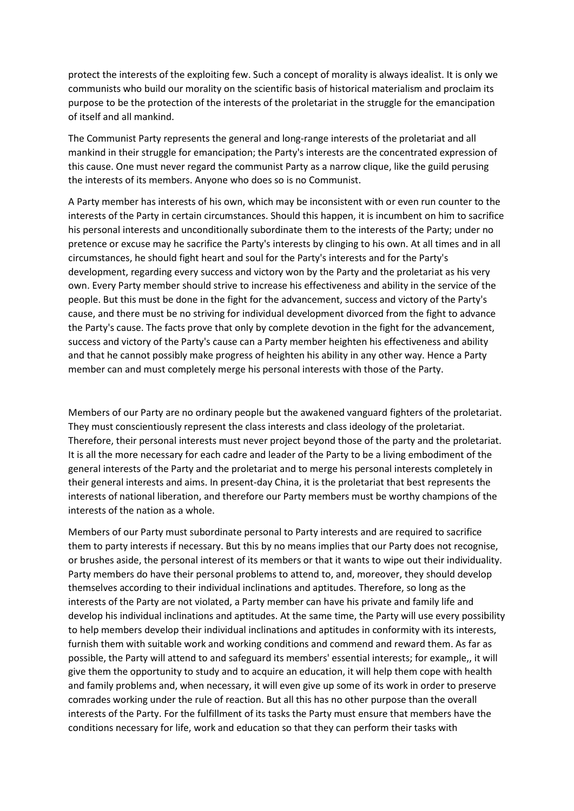protect the interests of the exploiting few. Such a concept of morality is always idealist. It is only we communists who build our morality on the scientific basis of historical materialism and proclaim its purpose to be the protection of the interests of the proletariat in the struggle for the emancipation of itself and all mankind.

The Communist Party represents the general and long-range interests of the proletariat and all mankind in their struggle for emancipation; the Party's interests are the concentrated expression of this cause. One must never regard the communist Party as a narrow clique, like the guild perusing the interests of its members. Anyone who does so is no Communist.

A Party member has interests of his own, which may be inconsistent with or even run counter to the interests of the Party in certain circumstances. Should this happen, it is incumbent on him to sacrifice his personal interests and unconditionally subordinate them to the interests of the Party; under no pretence or excuse may he sacrifice the Party's interests by clinging to his own. At all times and in all circumstances, he should fight heart and soul for the Party's interests and for the Party's development, regarding every success and victory won by the Party and the proletariat as his very own. Every Party member should strive to increase his effectiveness and ability in the service of the people. But this must be done in the fight for the advancement, success and victory of the Party's cause, and there must be no striving for individual development divorced from the fight to advance the Party's cause. The facts prove that only by complete devotion in the fight for the advancement, success and victory of the Party's cause can a Party member heighten his effectiveness and ability and that he cannot possibly make progress of heighten his ability in any other way. Hence a Party member can and must completely merge his personal interests with those of the Party.

Members of our Party are no ordinary people but the awakened vanguard fighters of the proletariat. They must conscientiously represent the class interests and class ideology of the proletariat. Therefore, their personal interests must never project beyond those of the party and the proletariat. It is all the more necessary for each cadre and leader of the Party to be a living embodiment of the general interests of the Party and the proletariat and to merge his personal interests completely in their general interests and aims. In present-day China, it is the proletariat that best represents the interests of national liberation, and therefore our Party members must be worthy champions of the interests of the nation as a whole.

Members of our Party must subordinate personal to Party interests and are required to sacrifice them to party interests if necessary. But this by no means implies that our Party does not recognise, or brushes aside, the personal interest of its members or that it wants to wipe out their individuality. Party members do have their personal problems to attend to, and, moreover, they should develop themselves according to their individual inclinations and aptitudes. Therefore, so long as the interests of the Party are not violated, a Party member can have his private and family life and develop his individual inclinations and aptitudes. At the same time, the Party will use every possibility to help members develop their individual inclinations and aptitudes in conformity with its interests, furnish them with suitable work and working conditions and commend and reward them. As far as possible, the Party will attend to and safeguard its members' essential interests; for example,, it will give them the opportunity to study and to acquire an education, it will help them cope with health and family problems and, when necessary, it will even give up some of its work in order to preserve comrades working under the rule of reaction. But all this has no other purpose than the overall interests of the Party. For the fulfillment of its tasks the Party must ensure that members have the conditions necessary for life, work and education so that they can perform their tasks with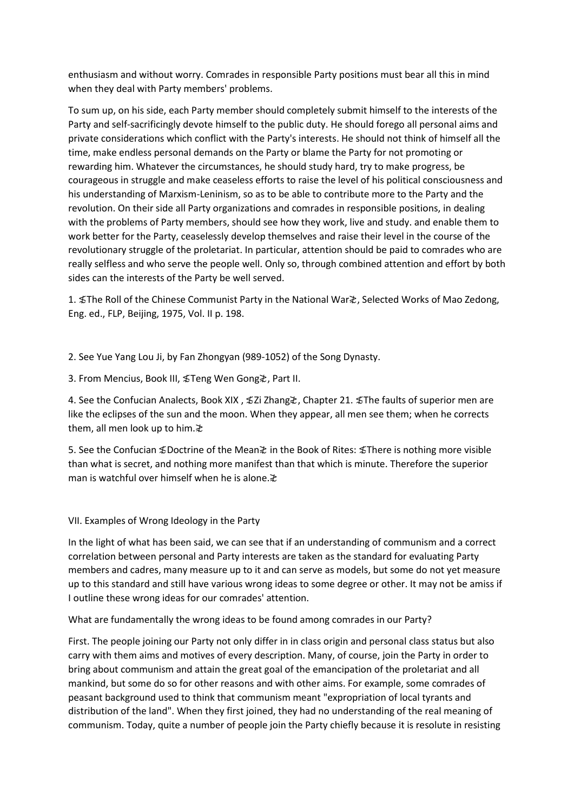enthusiasm and without worry. Comrades in responsible Party positions must bear all this in mind when they deal with Party members' problems.

To sum up, on his side, each Party member should completely submit himself to the interests of the Party and self-sacrificingly devote himself to the public duty. He should forego all personal aims and private considerations which conflict with the Party's interests. He should not think of himself all the time, make endless personal demands on the Party or blame the Party for not promoting or rewarding him. Whatever the circumstances, he should study hard, try to make progress, be courageous in struggle and make ceaseless efforts to raise the level of his political consciousness and his understanding of Marxism-Leninism, so as to be able to contribute more to the Party and the revolution. On their side all Party organizations and comrades in responsible positions, in dealing with the problems of Party members, should see how they work, live and study. and enable them to work better for the Party, ceaselessly develop themselves and raise their level in the course of the revolutionary struggle of the proletariat. In particular, attention should be paid to comrades who are really selfless and who serve the people well. Only so, through combined attention and effort by both sides can the interests of the Party be well served.

1. ≴The Roll of the Chinese Communist Party in the National War≵, Selected Works of Mao Zedong, Eng. ed., FLP, Beijing, 1975, Vol. II p. 198.

2. See Yue Yang Lou Ji, by Fan Zhongyan (989-1052) of the Song Dynasty.

3. From Mencius, Book III, ≴Teng Wen Gong≵, Part II.

4. See the Confucian Analects, Book XIX , ≴Zi Zhang≵, Chapter 21. ≴The faults of superior men are like the eclipses of the sun and the moon. When they appear, all men see them; when he corrects them, all men look up to him.≵

5. See the Confucian ≴Doctrine of the Mean≵ in the Book of Rites: ≴There is nothing more visible than what is secret, and nothing more manifest than that which is minute. Therefore the superior man is watchful over himself when he is alone.≵

VII. Examples of Wrong Ideology in the Party

In the light of what has been said, we can see that if an understanding of communism and a correct correlation between personal and Party interests are taken as the standard for evaluating Party members and cadres, many measure up to it and can serve as models, but some do not yet measure up to this standard and still have various wrong ideas to some degree or other. It may not be amiss if I outline these wrong ideas for our comrades' attention.

What are fundamentally the wrong ideas to be found among comrades in our Party?

First. The people joining our Party not only differ in in class origin and personal class status but also carry with them aims and motives of every description. Many, of course, join the Party in order to bring about communism and attain the great goal of the emancipation of the proletariat and all mankind, but some do so for other reasons and with other aims. For example, some comrades of peasant background used to think that communism meant "expropriation of local tyrants and distribution of the land". When they first joined, they had no understanding of the real meaning of communism. Today, quite a number of people join the Party chiefly because it is resolute in resisting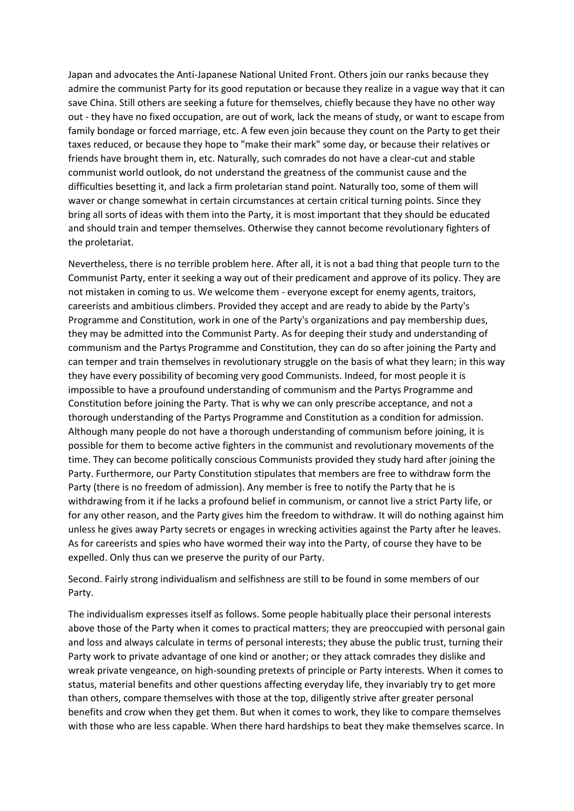Japan and advocates the Anti-Japanese National United Front. Others join our ranks because they admire the communist Party for its good reputation or because they realize in a vague way that it can save China. Still others are seeking a future for themselves, chiefly because they have no other way out - they have no fixed occupation, are out of work, lack the means of study, or want to escape from family bondage or forced marriage, etc. A few even join because they count on the Party to get their taxes reduced, or because they hope to "make their mark" some day, or because their relatives or friends have brought them in, etc. Naturally, such comrades do not have a clear-cut and stable communist world outlook, do not understand the greatness of the communist cause and the difficulties besetting it, and lack a firm proletarian stand point. Naturally too, some of them will waver or change somewhat in certain circumstances at certain critical turning points. Since they bring all sorts of ideas with them into the Party, it is most important that they should be educated and should train and temper themselves. Otherwise they cannot become revolutionary fighters of the proletariat.

Nevertheless, there is no terrible problem here. After all, it is not a bad thing that people turn to the Communist Party, enter it seeking a way out of their predicament and approve of its policy. They are not mistaken in coming to us. We welcome them - everyone except for enemy agents, traitors, careerists and ambitious climbers. Provided they accept and are ready to abide by the Party's Programme and Constitution, work in one of the Party's organizations and pay membership dues, they may be admitted into the Communist Party. As for deeping their study and understanding of communism and the Partys Programme and Constitution, they can do so after joining the Party and can temper and train themselves in revolutionary struggle on the basis of what they learn; in this way they have every possibility of becoming very good Communists. Indeed, for most people it is impossible to have a proufound understanding of communism and the Partys Programme and Constitution before joining the Party. That is why we can only prescribe acceptance, and not a thorough understanding of the Partys Programme and Constitution as a condition for admission. Although many people do not have a thorough understanding of communism before joining, it is possible for them to become active fighters in the communist and revolutionary movements of the time. They can become politically conscious Communists provided they study hard after joining the Party. Furthermore, our Party Constitution stipulates that members are free to withdraw form the Party (there is no freedom of admission). Any member is free to notify the Party that he is withdrawing from it if he lacks a profound belief in communism, or cannot live a strict Party life, or for any other reason, and the Party gives him the freedom to withdraw. It will do nothing against him unless he gives away Party secrets or engages in wrecking activities against the Party after he leaves. As for careerists and spies who have wormed their way into the Party, of course they have to be expelled. Only thus can we preserve the purity of our Party.

Second. Fairly strong individualism and selfishness are still to be found in some members of our Party.

The individualism expresses itself as follows. Some people habitually place their personal interests above those of the Party when it comes to practical matters; they are preoccupied with personal gain and loss and always calculate in terms of personal interests; they abuse the public trust, turning their Party work to private advantage of one kind or another; or they attack comrades they dislike and wreak private vengeance, on high-sounding pretexts of principle or Party interests. When it comes to status, material benefits and other questions affecting everyday life, they invariably try to get more than others, compare themselves with those at the top, diligently strive after greater personal benefits and crow when they get them. But when it comes to work, they like to compare themselves with those who are less capable. When there hard hardships to beat they make themselves scarce. In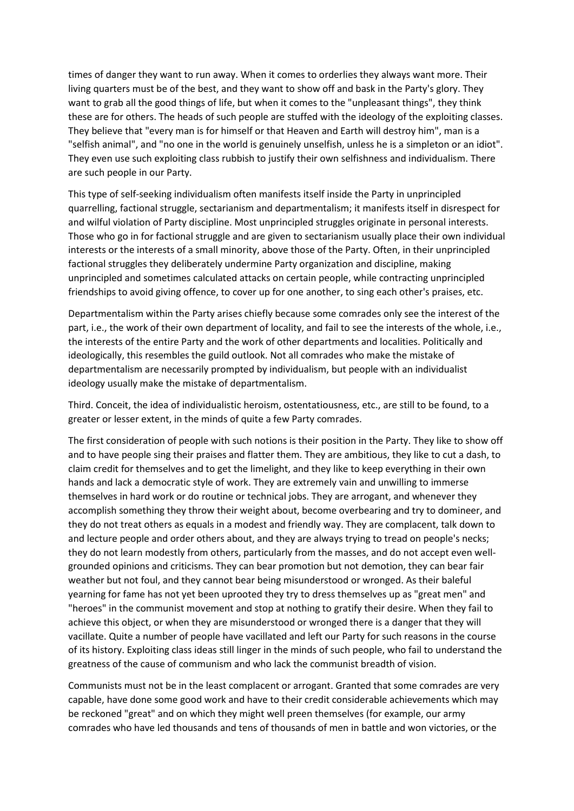times of danger they want to run away. When it comes to orderlies they always want more. Their living quarters must be of the best, and they want to show off and bask in the Party's glory. They want to grab all the good things of life, but when it comes to the "unpleasant things", they think these are for others. The heads of such people are stuffed with the ideology of the exploiting classes. They believe that "every man is for himself or that Heaven and Earth will destroy him", man is a "selfish animal", and "no one in the world is genuinely unselfish, unless he is a simpleton or an idiot". They even use such exploiting class rubbish to justify their own selfishness and individualism. There are such people in our Party.

This type of self-seeking individualism often manifests itself inside the Party in unprincipled quarrelling, factional struggle, sectarianism and departmentalism; it manifests itself in disrespect for and wilful violation of Party discipline. Most unprincipled struggles originate in personal interests. Those who go in for factional struggle and are given to sectarianism usually place their own individual interests or the interests of a small minority, above those of the Party. Often, in their unprincipled factional struggles they deliberately undermine Party organization and discipline, making unprincipled and sometimes calculated attacks on certain people, while contracting unprincipled friendships to avoid giving offence, to cover up for one another, to sing each other's praises, etc.

Departmentalism within the Party arises chiefly because some comrades only see the interest of the part, i.e., the work of their own department of locality, and fail to see the interests of the whole, i.e., the interests of the entire Party and the work of other departments and localities. Politically and ideologically, this resembles the guild outlook. Not all comrades who make the mistake of departmentalism are necessarily prompted by individualism, but people with an individualist ideology usually make the mistake of departmentalism.

Third. Conceit, the idea of individualistic heroism, ostentatiousness, etc., are still to be found, to a greater or lesser extent, in the minds of quite a few Party comrades.

The first consideration of people with such notions is their position in the Party. They like to show off and to have people sing their praises and flatter them. They are ambitious, they like to cut a dash, to claim credit for themselves and to get the limelight, and they like to keep everything in their own hands and lack a democratic style of work. They are extremely vain and unwilling to immerse themselves in hard work or do routine or technical jobs. They are arrogant, and whenever they accomplish something they throw their weight about, become overbearing and try to domineer, and they do not treat others as equals in a modest and friendly way. They are complacent, talk down to and lecture people and order others about, and they are always trying to tread on people's necks; they do not learn modestly from others, particularly from the masses, and do not accept even wellgrounded opinions and criticisms. They can bear promotion but not demotion, they can bear fair weather but not foul, and they cannot bear being misunderstood or wronged. As their baleful yearning for fame has not yet been uprooted they try to dress themselves up as "great men" and "heroes" in the communist movement and stop at nothing to gratify their desire. When they fail to achieve this object, or when they are misunderstood or wronged there is a danger that they will vacillate. Quite a number of people have vacillated and left our Party for such reasons in the course of its history. Exploiting class ideas still linger in the minds of such people, who fail to understand the greatness of the cause of communism and who lack the communist breadth of vision.

Communists must not be in the least complacent or arrogant. Granted that some comrades are very capable, have done some good work and have to their credit considerable achievements which may be reckoned "great" and on which they might well preen themselves (for example, our army comrades who have led thousands and tens of thousands of men in battle and won victories, or the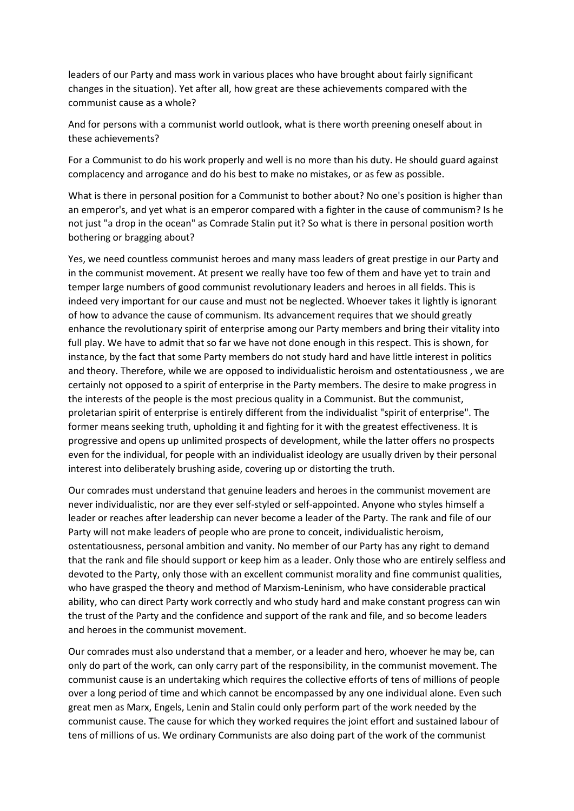leaders of our Party and mass work in various places who have brought about fairly significant changes in the situation). Yet after all, how great are these achievements compared with the communist cause as a whole?

And for persons with a communist world outlook, what is there worth preening oneself about in these achievements?

For a Communist to do his work properly and well is no more than his duty. He should guard against complacency and arrogance and do his best to make no mistakes, or as few as possible.

What is there in personal position for a Communist to bother about? No one's position is higher than an emperor's, and yet what is an emperor compared with a fighter in the cause of communism? Is he not just "a drop in the ocean" as Comrade Stalin put it? So what is there in personal position worth bothering or bragging about?

Yes, we need countless communist heroes and many mass leaders of great prestige in our Party and in the communist movement. At present we really have too few of them and have yet to train and temper large numbers of good communist revolutionary leaders and heroes in all fields. This is indeed very important for our cause and must not be neglected. Whoever takes it lightly is ignorant of how to advance the cause of communism. Its advancement requires that we should greatly enhance the revolutionary spirit of enterprise among our Party members and bring their vitality into full play. We have to admit that so far we have not done enough in this respect. This is shown, for instance, by the fact that some Party members do not study hard and have little interest in politics and theory. Therefore, while we are opposed to individualistic heroism and ostentatiousness , we are certainly not opposed to a spirit of enterprise in the Party members. The desire to make progress in the interests of the people is the most precious quality in a Communist. But the communist, proletarian spirit of enterprise is entirely different from the individualist "spirit of enterprise". The former means seeking truth, upholding it and fighting for it with the greatest effectiveness. It is progressive and opens up unlimited prospects of development, while the latter offers no prospects even for the individual, for people with an individualist ideology are usually driven by their personal interest into deliberately brushing aside, covering up or distorting the truth.

Our comrades must understand that genuine leaders and heroes in the communist movement are never individualistic, nor are they ever self-styled or self-appointed. Anyone who styles himself a leader or reaches after leadership can never become a leader of the Party. The rank and file of our Party will not make leaders of people who are prone to conceit, individualistic heroism, ostentatiousness, personal ambition and vanity. No member of our Party has any right to demand that the rank and file should support or keep him as a leader. Only those who are entirely selfless and devoted to the Party, only those with an excellent communist morality and fine communist qualities, who have grasped the theory and method of Marxism-Leninism, who have considerable practical ability, who can direct Party work correctly and who study hard and make constant progress can win the trust of the Party and the confidence and support of the rank and file, and so become leaders and heroes in the communist movement.

Our comrades must also understand that a member, or a leader and hero, whoever he may be, can only do part of the work, can only carry part of the responsibility, in the communist movement. The communist cause is an undertaking which requires the collective efforts of tens of millions of people over a long period of time and which cannot be encompassed by any one individual alone. Even such great men as Marx, Engels, Lenin and Stalin could only perform part of the work needed by the communist cause. The cause for which they worked requires the joint effort and sustained labour of tens of millions of us. We ordinary Communists are also doing part of the work of the communist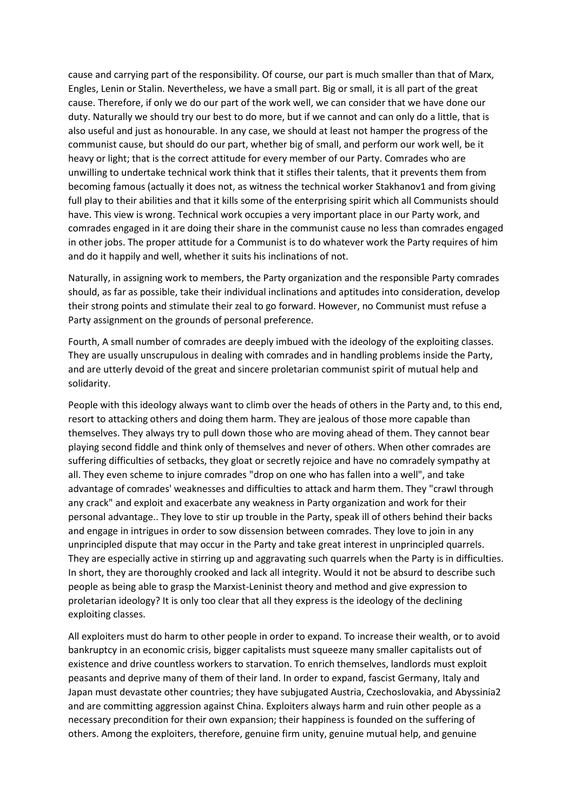cause and carrying part of the responsibility. Of course, our part is much smaller than that of Marx, Engles, Lenin or Stalin. Nevertheless, we have a small part. Big or small, it is all part of the great cause. Therefore, if only we do our part of the work well, we can consider that we have done our duty. Naturally we should try our best to do more, but if we cannot and can only do a little, that is also useful and just as honourable. In any case, we should at least not hamper the progress of the communist cause, but should do our part, whether big of small, and perform our work well, be it heavy or light; that is the correct attitude for every member of our Party. Comrades who are unwilling to undertake technical work think that it stifles their talents, that it prevents them from becoming famous (actually it does not, as witness the technical worker Stakhanov1 and from giving full play to their abilities and that it kills some of the enterprising spirit which all Communists should have. This view is wrong. Technical work occupies a very important place in our Party work, and comrades engaged in it are doing their share in the communist cause no less than comrades engaged in other jobs. The proper attitude for a Communist is to do whatever work the Party requires of him and do it happily and well, whether it suits his inclinations of not.

Naturally, in assigning work to members, the Party organization and the responsible Party comrades should, as far as possible, take their individual inclinations and aptitudes into consideration, develop their strong points and stimulate their zeal to go forward. However, no Communist must refuse a Party assignment on the grounds of personal preference.

Fourth, A small number of comrades are deeply imbued with the ideology of the exploiting classes. They are usually unscrupulous in dealing with comrades and in handling problems inside the Party, and are utterly devoid of the great and sincere proletarian communist spirit of mutual help and solidarity.

People with this ideology always want to climb over the heads of others in the Party and, to this end, resort to attacking others and doing them harm. They are jealous of those more capable than themselves. They always try to pull down those who are moving ahead of them. They cannot bear playing second fiddle and think only of themselves and never of others. When other comrades are suffering difficulties of setbacks, they gloat or secretly rejoice and have no comradely sympathy at all. They even scheme to injure comrades "drop on one who has fallen into a well", and take advantage of comrades' weaknesses and difficulties to attack and harm them. They "crawl through any crack" and exploit and exacerbate any weakness in Party organization and work for their personal advantage.. They love to stir up trouble in the Party, speak ill of others behind their backs and engage in intrigues in order to sow dissension between comrades. They love to join in any unprincipled dispute that may occur in the Party and take great interest in unprincipled quarrels. They are especially active in stirring up and aggravating such quarrels when the Party is in difficulties. In short, they are thoroughly crooked and lack all integrity. Would it not be absurd to describe such people as being able to grasp the Marxist-Leninist theory and method and give expression to proletarian ideology? It is only too clear that all they express is the ideology of the declining exploiting classes.

All exploiters must do harm to other people in order to expand. To increase their wealth, or to avoid bankruptcy in an economic crisis, bigger capitalists must squeeze many smaller capitalists out of existence and drive countless workers to starvation. To enrich themselves, landlords must exploit peasants and deprive many of them of their land. In order to expand, fascist Germany, Italy and Japan must devastate other countries; they have subjugated Austria, Czechoslovakia, and Abyssinia2 and are committing aggression against China. Exploiters always harm and ruin other people as a necessary precondition for their own expansion; their happiness is founded on the suffering of others. Among the exploiters, therefore, genuine firm unity, genuine mutual help, and genuine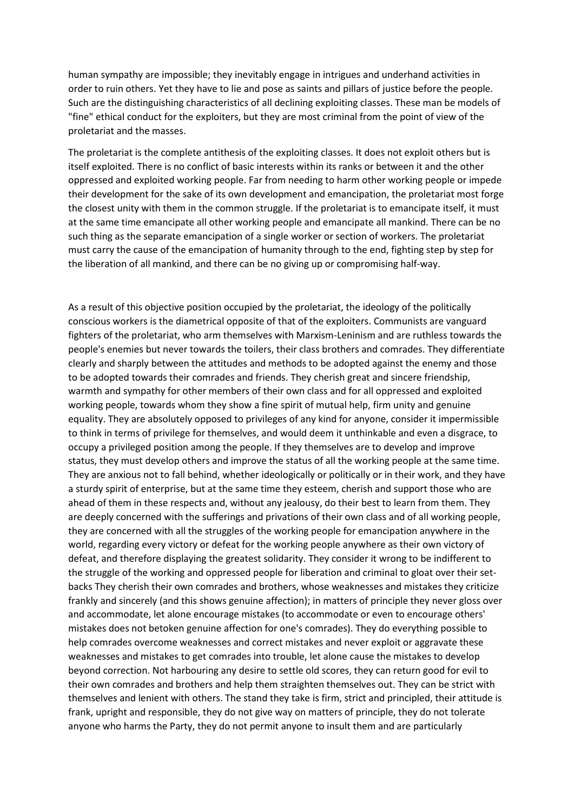human sympathy are impossible; they inevitably engage in intrigues and underhand activities in order to ruin others. Yet they have to lie and pose as saints and pillars of justice before the people. Such are the distinguishing characteristics of all declining exploiting classes. These man be models of "fine" ethical conduct for the exploiters, but they are most criminal from the point of view of the proletariat and the masses.

The proletariat is the complete antithesis of the exploiting classes. It does not exploit others but is itself exploited. There is no conflict of basic interests within its ranks or between it and the other oppressed and exploited working people. Far from needing to harm other working people or impede their development for the sake of its own development and emancipation, the proletariat most forge the closest unity with them in the common struggle. If the proletariat is to emancipate itself, it must at the same time emancipate all other working people and emancipate all mankind. There can be no such thing as the separate emancipation of a single worker or section of workers. The proletariat must carry the cause of the emancipation of humanity through to the end, fighting step by step for the liberation of all mankind, and there can be no giving up or compromising half-way.

As a result of this objective position occupied by the proletariat, the ideology of the politically conscious workers is the diametrical opposite of that of the exploiters. Communists are vanguard fighters of the proletariat, who arm themselves with Marxism-Leninism and are ruthless towards the people's enemies but never towards the toilers, their class brothers and comrades. They differentiate clearly and sharply between the attitudes and methods to be adopted against the enemy and those to be adopted towards their comrades and friends. They cherish great and sincere friendship, warmth and sympathy for other members of their own class and for all oppressed and exploited working people, towards whom they show a fine spirit of mutual help, firm unity and genuine equality. They are absolutely opposed to privileges of any kind for anyone, consider it impermissible to think in terms of privilege for themselves, and would deem it unthinkable and even a disgrace, to occupy a privileged position among the people. If they themselves are to develop and improve status, they must develop others and improve the status of all the working people at the same time. They are anxious not to fall behind, whether ideologically or politically or in their work, and they have a sturdy spirit of enterprise, but at the same time they esteem, cherish and support those who are ahead of them in these respects and, without any jealousy, do their best to learn from them. They are deeply concerned with the sufferings and privations of their own class and of all working people, they are concerned with all the struggles of the working people for emancipation anywhere in the world, regarding every victory or defeat for the working people anywhere as their own victory of defeat, and therefore displaying the greatest solidarity. They consider it wrong to be indifferent to the struggle of the working and oppressed people for liberation and criminal to gloat over their setbacks They cherish their own comrades and brothers, whose weaknesses and mistakes they criticize frankly and sincerely (and this shows genuine affection); in matters of principle they never gloss over and accommodate, let alone encourage mistakes (to accommodate or even to encourage others' mistakes does not betoken genuine affection for one's comrades). They do everything possible to help comrades overcome weaknesses and correct mistakes and never exploit or aggravate these weaknesses and mistakes to get comrades into trouble, let alone cause the mistakes to develop beyond correction. Not harbouring any desire to settle old scores, they can return good for evil to their own comrades and brothers and help them straighten themselves out. They can be strict with themselves and lenient with others. The stand they take is firm, strict and principled, their attitude is frank, upright and responsible, they do not give way on matters of principle, they do not tolerate anyone who harms the Party, they do not permit anyone to insult them and are particularly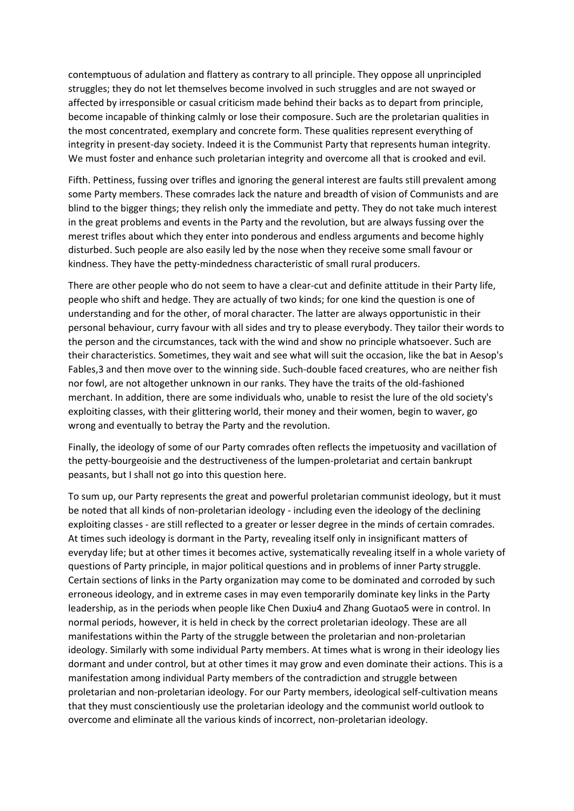contemptuous of adulation and flattery as contrary to all principle. They oppose all unprincipled struggles; they do not let themselves become involved in such struggles and are not swayed or affected by irresponsible or casual criticism made behind their backs as to depart from principle, become incapable of thinking calmly or lose their composure. Such are the proletarian qualities in the most concentrated, exemplary and concrete form. These qualities represent everything of integrity in present-day society. Indeed it is the Communist Party that represents human integrity. We must foster and enhance such proletarian integrity and overcome all that is crooked and evil.

Fifth. Pettiness, fussing over trifles and ignoring the general interest are faults still prevalent among some Party members. These comrades lack the nature and breadth of vision of Communists and are blind to the bigger things; they relish only the immediate and petty. They do not take much interest in the great problems and events in the Party and the revolution, but are always fussing over the merest trifles about which they enter into ponderous and endless arguments and become highly disturbed. Such people are also easily led by the nose when they receive some small favour or kindness. They have the petty-mindedness characteristic of small rural producers.

There are other people who do not seem to have a clear-cut and definite attitude in their Party life, people who shift and hedge. They are actually of two kinds; for one kind the question is one of understanding and for the other, of moral character. The latter are always opportunistic in their personal behaviour, curry favour with all sides and try to please everybody. They tailor their words to the person and the circumstances, tack with the wind and show no principle whatsoever. Such are their characteristics. Sometimes, they wait and see what will suit the occasion, like the bat in Aesop's Fables,3 and then move over to the winning side. Such-double faced creatures, who are neither fish nor fowl, are not altogether unknown in our ranks. They have the traits of the old-fashioned merchant. In addition, there are some individuals who, unable to resist the lure of the old society's exploiting classes, with their glittering world, their money and their women, begin to waver, go wrong and eventually to betray the Party and the revolution.

Finally, the ideology of some of our Party comrades often reflects the impetuosity and vacillation of the petty-bourgeoisie and the destructiveness of the lumpen-proletariat and certain bankrupt peasants, but I shall not go into this question here.

To sum up, our Party represents the great and powerful proletarian communist ideology, but it must be noted that all kinds of non-proletarian ideology - including even the ideology of the declining exploiting classes - are still reflected to a greater or lesser degree in the minds of certain comrades. At times such ideology is dormant in the Party, revealing itself only in insignificant matters of everyday life; but at other times it becomes active, systematically revealing itself in a whole variety of questions of Party principle, in major political questions and in problems of inner Party struggle. Certain sections of links in the Party organization may come to be dominated and corroded by such erroneous ideology, and in extreme cases in may even temporarily dominate key links in the Party leadership, as in the periods when people like Chen Duxiu4 and Zhang Guotao5 were in control. In normal periods, however, it is held in check by the correct proletarian ideology. These are all manifestations within the Party of the struggle between the proletarian and non-proletarian ideology. Similarly with some individual Party members. At times what is wrong in their ideology lies dormant and under control, but at other times it may grow and even dominate their actions. This is a manifestation among individual Party members of the contradiction and struggle between proletarian and non-proletarian ideology. For our Party members, ideological self-cultivation means that they must conscientiously use the proletarian ideology and the communist world outlook to overcome and eliminate all the various kinds of incorrect, non-proletarian ideology.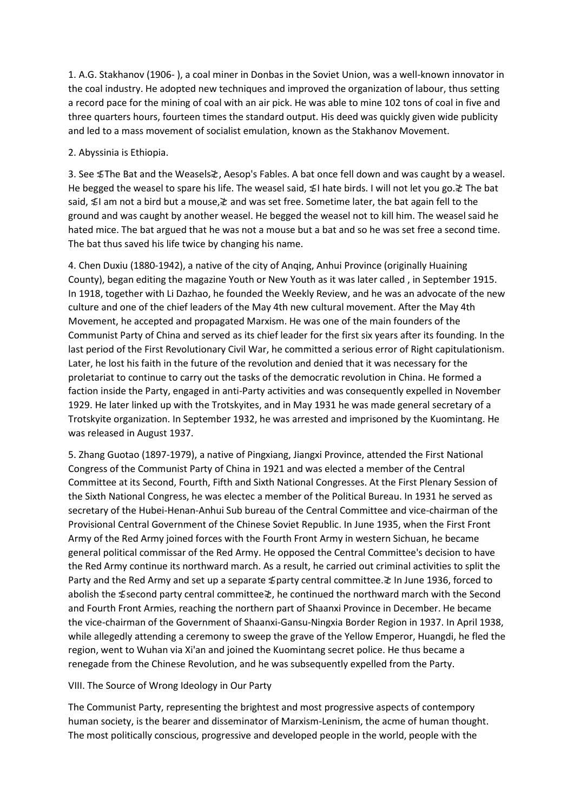1. A.G. Stakhanov (1906- ), a coal miner in Donbas in the Soviet Union, was a well-known innovator in the coal industry. He adopted new techniques and improved the organization of labour, thus setting a record pace for the mining of coal with an air pick. He was able to mine 102 tons of coal in five and three quarters hours, fourteen times the standard output. His deed was quickly given wide publicity and led to a mass movement of socialist emulation, known as the Stakhanov Movement.

# 2. Abyssinia is Ethiopia.

3. See ≴The Bat and the Weasels≵, Aesop's Fables. A bat once fell down and was caught by a weasel. He begged the weasel to spare his life. The weasel said, ≴I hate birds. I will not let you go.≵ The bat said, ≴I am not a bird but a mouse,≵ and was set free. Sometime later, the bat again fell to the ground and was caught by another weasel. He begged the weasel not to kill him. The weasel said he hated mice. The bat argued that he was not a mouse but a bat and so he was set free a second time. The bat thus saved his life twice by changing his name.

4. Chen Duxiu (1880-1942), a native of the city of Anqing, Anhui Province (originally Huaining County), began editing the magazine Youth or New Youth as it was later called , in September 1915. In 1918, together with Li Dazhao, he founded the Weekly Review, and he was an advocate of the new culture and one of the chief leaders of the May 4th new cultural movement. After the May 4th Movement, he accepted and propagated Marxism. He was one of the main founders of the Communist Party of China and served as its chief leader for the first six years after its founding. In the last period of the First Revolutionary Civil War, he committed a serious error of Right capitulationism. Later, he lost his faith in the future of the revolution and denied that it was necessary for the proletariat to continue to carry out the tasks of the democratic revolution in China. He formed a faction inside the Party, engaged in anti-Party activities and was consequently expelled in November 1929. He later linked up with the Trotskyites, and in May 1931 he was made general secretary of a Trotskyite organization. In September 1932, he was arrested and imprisoned by the Kuomintang. He was released in August 1937.

5. Zhang Guotao (1897-1979), a native of Pingxiang, Jiangxi Province, attended the First National Congress of the Communist Party of China in 1921 and was elected a member of the Central Committee at its Second, Fourth, Fifth and Sixth National Congresses. At the First Plenary Session of the Sixth National Congress, he was electec a member of the Political Bureau. In 1931 he served as secretary of the Hubei-Henan-Anhui Sub bureau of the Central Committee and vice-chairman of the Provisional Central Government of the Chinese Soviet Republic. In June 1935, when the First Front Army of the Red Army joined forces with the Fourth Front Army in western Sichuan, he became general political commissar of the Red Army. He opposed the Central Committee's decision to have the Red Army continue its northward march. As a result, he carried out criminal activities to split the Party and the Red Army and set up a separate ≴party central committee.≵ In June 1936, forced to abolish the ≴second party central committee≵, he continued the northward march with the Second and Fourth Front Armies, reaching the northern part of Shaanxi Province in December. He became the vice-chairman of the Government of Shaanxi-Gansu-Ningxia Border Region in 1937. In April 1938, while allegedly attending a ceremony to sweep the grave of the Yellow Emperor, Huangdi, he fled the region, went to Wuhan via Xi'an and joined the Kuomintang secret police. He thus became a renegade from the Chinese Revolution, and he was subsequently expelled from the Party.

### VIII. The Source of Wrong Ideology in Our Party

The Communist Party, representing the brightest and most progressive aspects of contempory human society, is the bearer and disseminator of Marxism-Leninism, the acme of human thought. The most politically conscious, progressive and developed people in the world, people with the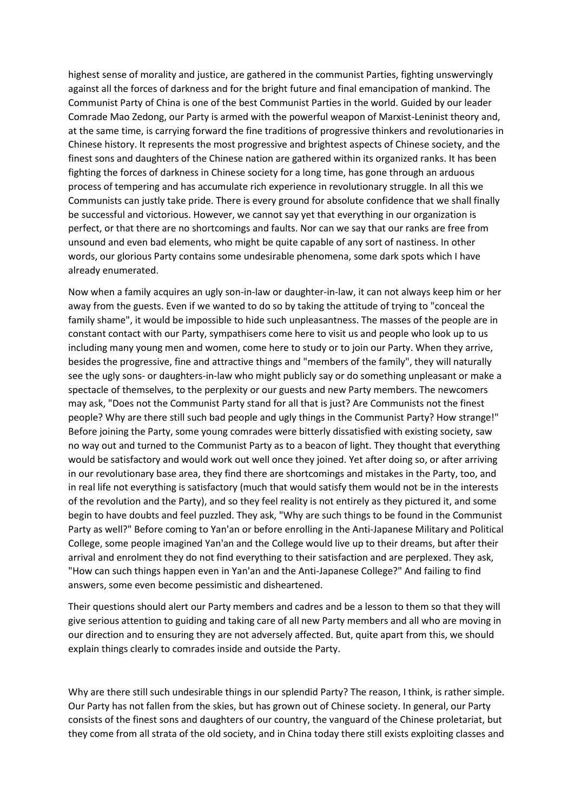highest sense of morality and justice, are gathered in the communist Parties, fighting unswervingly against all the forces of darkness and for the bright future and final emancipation of mankind. The Communist Party of China is one of the best Communist Parties in the world. Guided by our leader Comrade Mao Zedong, our Party is armed with the powerful weapon of Marxist-Leninist theory and, at the same time, is carrying forward the fine traditions of progressive thinkers and revolutionaries in Chinese history. It represents the most progressive and brightest aspects of Chinese society, and the finest sons and daughters of the Chinese nation are gathered within its organized ranks. It has been fighting the forces of darkness in Chinese society for a long time, has gone through an arduous process of tempering and has accumulate rich experience in revolutionary struggle. In all this we Communists can justly take pride. There is every ground for absolute confidence that we shall finally be successful and victorious. However, we cannot say yet that everything in our organization is perfect, or that there are no shortcomings and faults. Nor can we say that our ranks are free from unsound and even bad elements, who might be quite capable of any sort of nastiness. In other words, our glorious Party contains some undesirable phenomena, some dark spots which I have already enumerated.

Now when a family acquires an ugly son-in-law or daughter-in-law, it can not always keep him or her away from the guests. Even if we wanted to do so by taking the attitude of trying to "conceal the family shame", it would be impossible to hide such unpleasantness. The masses of the people are in constant contact with our Party, sympathisers come here to visit us and people who look up to us including many young men and women, come here to study or to join our Party. When they arrive, besides the progressive, fine and attractive things and "members of the family", they will naturally see the ugly sons- or daughters-in-law who might publicly say or do something unpleasant or make a spectacle of themselves, to the perplexity or our guests and new Party members. The newcomers may ask, "Does not the Communist Party stand for all that is just? Are Communists not the finest people? Why are there still such bad people and ugly things in the Communist Party? How strange!" Before joining the Party, some young comrades were bitterly dissatisfied with existing society, saw no way out and turned to the Communist Party as to a beacon of light. They thought that everything would be satisfactory and would work out well once they joined. Yet after doing so, or after arriving in our revolutionary base area, they find there are shortcomings and mistakes in the Party, too, and in real life not everything is satisfactory (much that would satisfy them would not be in the interests of the revolution and the Party), and so they feel reality is not entirely as they pictured it, and some begin to have doubts and feel puzzled. They ask, "Why are such things to be found in the Communist Party as well?" Before coming to Yan'an or before enrolling in the Anti-Japanese Military and Political College, some people imagined Yan'an and the College would live up to their dreams, but after their arrival and enrolment they do not find everything to their satisfaction and are perplexed. They ask, "How can such things happen even in Yan'an and the Anti-Japanese College?" And failing to find answers, some even become pessimistic and disheartened.

Their questions should alert our Party members and cadres and be a lesson to them so that they will give serious attention to guiding and taking care of all new Party members and all who are moving in our direction and to ensuring they are not adversely affected. But, quite apart from this, we should explain things clearly to comrades inside and outside the Party.

Why are there still such undesirable things in our splendid Party? The reason, I think, is rather simple. Our Party has not fallen from the skies, but has grown out of Chinese society. In general, our Party consists of the finest sons and daughters of our country, the vanguard of the Chinese proletariat, but they come from all strata of the old society, and in China today there still exists exploiting classes and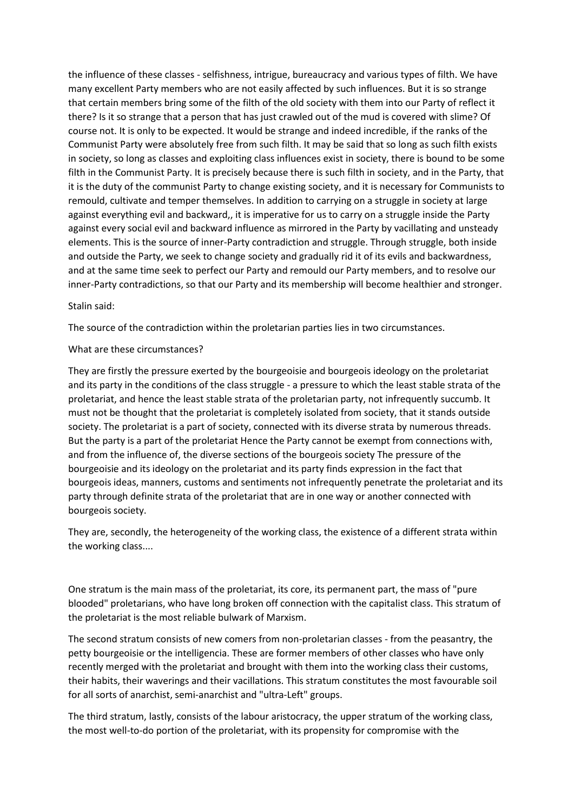the influence of these classes - selfishness, intrigue, bureaucracy and various types of filth. We have many excellent Party members who are not easily affected by such influences. But it is so strange that certain members bring some of the filth of the old society with them into our Party of reflect it there? Is it so strange that a person that has just crawled out of the mud is covered with slime? Of course not. It is only to be expected. It would be strange and indeed incredible, if the ranks of the Communist Party were absolutely free from such filth. It may be said that so long as such filth exists in society, so long as classes and exploiting class influences exist in society, there is bound to be some filth in the Communist Party. It is precisely because there is such filth in society, and in the Party, that it is the duty of the communist Party to change existing society, and it is necessary for Communists to remould, cultivate and temper themselves. In addition to carrying on a struggle in society at large against everything evil and backward,, it is imperative for us to carry on a struggle inside the Party against every social evil and backward influence as mirrored in the Party by vacillating and unsteady elements. This is the source of inner-Party contradiction and struggle. Through struggle, both inside and outside the Party, we seek to change society and gradually rid it of its evils and backwardness, and at the same time seek to perfect our Party and remould our Party members, and to resolve our inner-Party contradictions, so that our Party and its membership will become healthier and stronger.

### Stalin said:

The source of the contradiction within the proletarian parties lies in two circumstances.

## What are these circumstances?

They are firstly the pressure exerted by the bourgeoisie and bourgeois ideology on the proletariat and its party in the conditions of the class struggle - a pressure to which the least stable strata of the proletariat, and hence the least stable strata of the proletarian party, not infrequently succumb. It must not be thought that the proletariat is completely isolated from society, that it stands outside society. The proletariat is a part of society, connected with its diverse strata by numerous threads. But the party is a part of the proletariat Hence the Party cannot be exempt from connections with, and from the influence of, the diverse sections of the bourgeois society The pressure of the bourgeoisie and its ideology on the proletariat and its party finds expression in the fact that bourgeois ideas, manners, customs and sentiments not infrequently penetrate the proletariat and its party through definite strata of the proletariat that are in one way or another connected with bourgeois society.

They are, secondly, the heterogeneity of the working class, the existence of a different strata within the working class....

One stratum is the main mass of the proletariat, its core, its permanent part, the mass of "pure blooded" proletarians, who have long broken off connection with the capitalist class. This stratum of the proletariat is the most reliable bulwark of Marxism.

The second stratum consists of new comers from non-proletarian classes - from the peasantry, the petty bourgeoisie or the intelligencia. These are former members of other classes who have only recently merged with the proletariat and brought with them into the working class their customs, their habits, their waverings and their vacillations. This stratum constitutes the most favourable soil for all sorts of anarchist, semi-anarchist and "ultra-Left" groups.

The third stratum, lastly, consists of the labour aristocracy, the upper stratum of the working class, the most well-to-do portion of the proletariat, with its propensity for compromise with the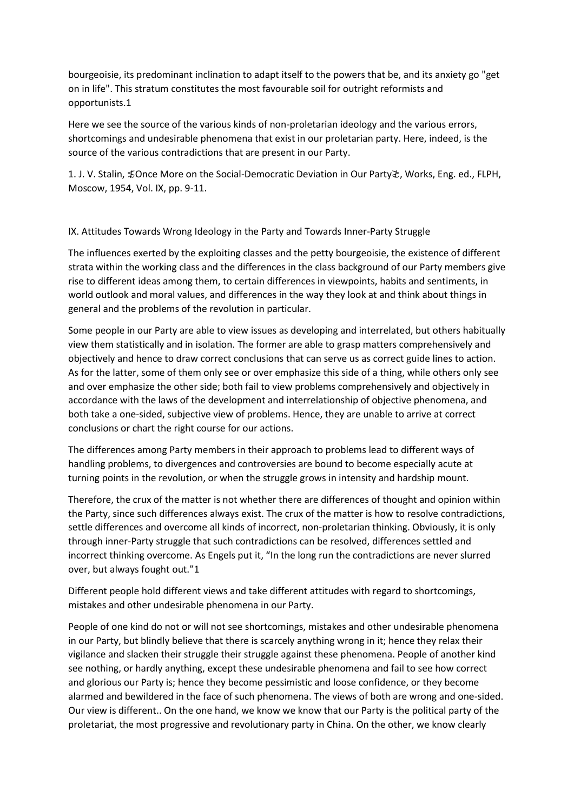bourgeoisie, its predominant inclination to adapt itself to the powers that be, and its anxiety go "get on in life". This stratum constitutes the most favourable soil for outright reformists and opportunists.1

Here we see the source of the various kinds of non-proletarian ideology and the various errors, shortcomings and undesirable phenomena that exist in our proletarian party. Here, indeed, is the source of the various contradictions that are present in our Party.

1. J. V. Stalin, ≴Once More on the Social-Democratic Deviation in Our Party≵, Works, Eng. ed., FLPH, Moscow, 1954, Vol. IX, pp. 9-11.

IX. Attitudes Towards Wrong Ideology in the Party and Towards Inner-Party Struggle

The influences exerted by the exploiting classes and the petty bourgeoisie, the existence of different strata within the working class and the differences in the class background of our Party members give rise to different ideas among them, to certain differences in viewpoints, habits and sentiments, in world outlook and moral values, and differences in the way they look at and think about things in general and the problems of the revolution in particular.

Some people in our Party are able to view issues as developing and interrelated, but others habitually view them statistically and in isolation. The former are able to grasp matters comprehensively and objectively and hence to draw correct conclusions that can serve us as correct guide lines to action. As for the latter, some of them only see or over emphasize this side of a thing, while others only see and over emphasize the other side; both fail to view problems comprehensively and objectively in accordance with the laws of the development and interrelationship of objective phenomena, and both take a one-sided, subjective view of problems. Hence, they are unable to arrive at correct conclusions or chart the right course for our actions.

The differences among Party members in their approach to problems lead to different ways of handling problems, to divergences and controversies are bound to become especially acute at turning points in the revolution, or when the struggle grows in intensity and hardship mount.

Therefore, the crux of the matter is not whether there are differences of thought and opinion within the Party, since such differences always exist. The crux of the matter is how to resolve contradictions, settle differences and overcome all kinds of incorrect, non-proletarian thinking. Obviously, it is only through inner-Party struggle that such contradictions can be resolved, differences settled and incorrect thinking overcome. As Engels put it, "In the long run the contradictions are never slurred over, but always fought out."1

Different people hold different views and take different attitudes with regard to shortcomings, mistakes and other undesirable phenomena in our Party.

People of one kind do not or will not see shortcomings, mistakes and other undesirable phenomena in our Party, but blindly believe that there is scarcely anything wrong in it; hence they relax their vigilance and slacken their struggle their struggle against these phenomena. People of another kind see nothing, or hardly anything, except these undesirable phenomena and fail to see how correct and glorious our Party is; hence they become pessimistic and loose confidence, or they become alarmed and bewildered in the face of such phenomena. The views of both are wrong and one-sided. Our view is different.. On the one hand, we know we know that our Party is the political party of the proletariat, the most progressive and revolutionary party in China. On the other, we know clearly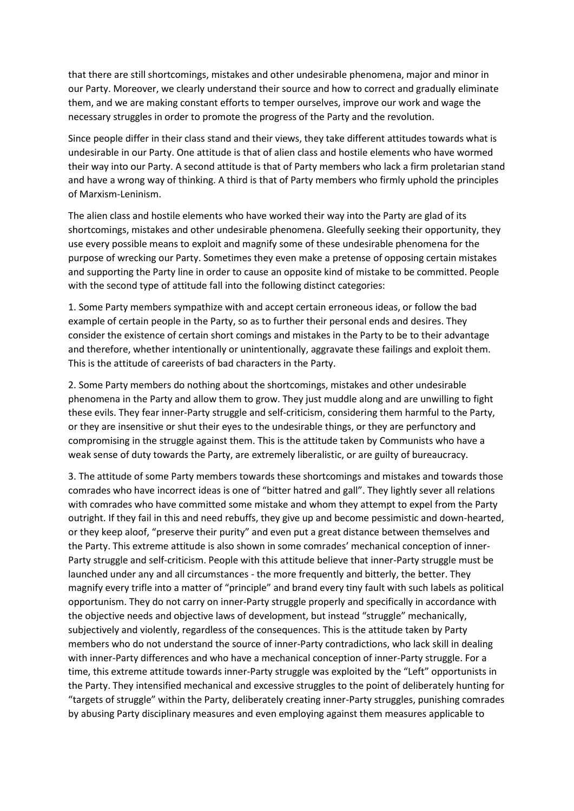that there are still shortcomings, mistakes and other undesirable phenomena, major and minor in our Party. Moreover, we clearly understand their source and how to correct and gradually eliminate them, and we are making constant efforts to temper ourselves, improve our work and wage the necessary struggles in order to promote the progress of the Party and the revolution.

Since people differ in their class stand and their views, they take different attitudes towards what is undesirable in our Party. One attitude is that of alien class and hostile elements who have wormed their way into our Party. A second attitude is that of Party members who lack a firm proletarian stand and have a wrong way of thinking. A third is that of Party members who firmly uphold the principles of Marxism-Leninism.

The alien class and hostile elements who have worked their way into the Party are glad of its shortcomings, mistakes and other undesirable phenomena. Gleefully seeking their opportunity, they use every possible means to exploit and magnify some of these undesirable phenomena for the purpose of wrecking our Party. Sometimes they even make a pretense of opposing certain mistakes and supporting the Party line in order to cause an opposite kind of mistake to be committed. People with the second type of attitude fall into the following distinct categories:

1. Some Party members sympathize with and accept certain erroneous ideas, or follow the bad example of certain people in the Party, so as to further their personal ends and desires. They consider the existence of certain short comings and mistakes in the Party to be to their advantage and therefore, whether intentionally or unintentionally, aggravate these failings and exploit them. This is the attitude of careerists of bad characters in the Party.

2. Some Party members do nothing about the shortcomings, mistakes and other undesirable phenomena in the Party and allow them to grow. They just muddle along and are unwilling to fight these evils. They fear inner-Party struggle and self-criticism, considering them harmful to the Party, or they are insensitive or shut their eyes to the undesirable things, or they are perfunctory and compromising in the struggle against them. This is the attitude taken by Communists who have a weak sense of duty towards the Party, are extremely liberalistic, or are guilty of bureaucracy.

3. The attitude of some Party members towards these shortcomings and mistakes and towards those comrades who have incorrect ideas is one of "bitter hatred and gall". They lightly sever all relations with comrades who have committed some mistake and whom they attempt to expel from the Party outright. If they fail in this and need rebuffs, they give up and become pessimistic and down-hearted, or they keep aloof, "preserve their purity" and even put a great distance between themselves and the Party. This extreme attitude is also shown in some comrades' mechanical conception of inner-Party struggle and self-criticism. People with this attitude believe that inner-Party struggle must be launched under any and all circumstances - the more frequently and bitterly, the better. They magnify every trifle into a matter of "principle" and brand every tiny fault with such labels as political opportunism. They do not carry on inner-Party struggle properly and specifically in accordance with the objective needs and objective laws of development, but instead "struggle" mechanically, subjectively and violently, regardless of the consequences. This is the attitude taken by Party members who do not understand the source of inner-Party contradictions, who lack skill in dealing with inner-Party differences and who have a mechanical conception of inner-Party struggle. For a time, this extreme attitude towards inner-Party struggle was exploited by the "Left" opportunists in the Party. They intensified mechanical and excessive struggles to the point of deliberately hunting for "targets of struggle" within the Party, deliberately creating inner-Party struggles, punishing comrades by abusing Party disciplinary measures and even employing against them measures applicable to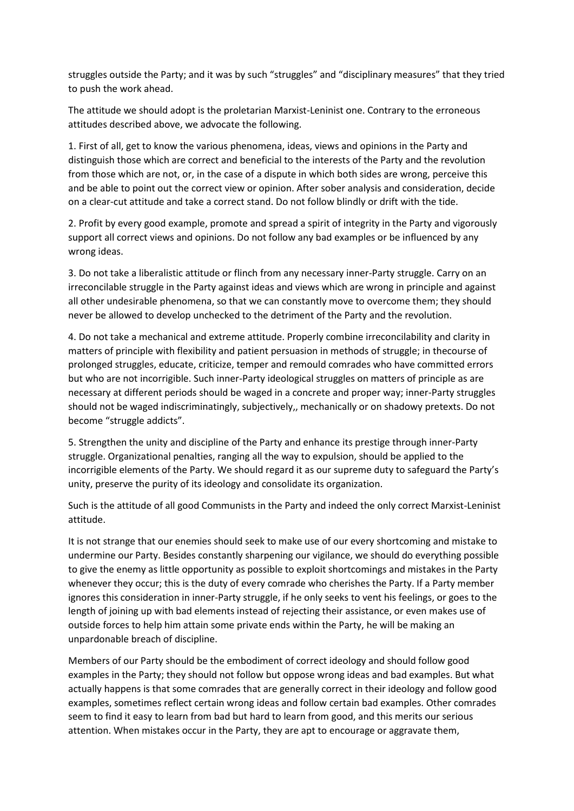struggles outside the Party; and it was by such "struggles" and "disciplinary measures" that they tried to push the work ahead.

The attitude we should adopt is the proletarian Marxist-Leninist one. Contrary to the erroneous attitudes described above, we advocate the following.

1. First of all, get to know the various phenomena, ideas, views and opinions in the Party and distinguish those which are correct and beneficial to the interests of the Party and the revolution from those which are not, or, in the case of a dispute in which both sides are wrong, perceive this and be able to point out the correct view or opinion. After sober analysis and consideration, decide on a clear-cut attitude and take a correct stand. Do not follow blindly or drift with the tide.

2. Profit by every good example, promote and spread a spirit of integrity in the Party and vigorously support all correct views and opinions. Do not follow any bad examples or be influenced by any wrong ideas.

3. Do not take a liberalistic attitude or flinch from any necessary inner-Party struggle. Carry on an irreconcilable struggle in the Party against ideas and views which are wrong in principle and against all other undesirable phenomena, so that we can constantly move to overcome them; they should never be allowed to develop unchecked to the detriment of the Party and the revolution.

4. Do not take a mechanical and extreme attitude. Properly combine irreconcilability and clarity in matters of principle with flexibility and patient persuasion in methods of struggle; in thecourse of prolonged struggles, educate, criticize, temper and remould comrades who have committed errors but who are not incorrigible. Such inner-Party ideological struggles on matters of principle as are necessary at different periods should be waged in a concrete and proper way; inner-Party struggles should not be waged indiscriminatingly, subjectively,, mechanically or on shadowy pretexts. Do not become "struggle addicts".

5. Strengthen the unity and discipline of the Party and enhance its prestige through inner-Party struggle. Organizational penalties, ranging all the way to expulsion, should be applied to the incorrigible elements of the Party. We should regard it as our supreme duty to safeguard the Party's unity, preserve the purity of its ideology and consolidate its organization.

Such is the attitude of all good Communists in the Party and indeed the only correct Marxist-Leninist attitude.

It is not strange that our enemies should seek to make use of our every shortcoming and mistake to undermine our Party. Besides constantly sharpening our vigilance, we should do everything possible to give the enemy as little opportunity as possible to exploit shortcomings and mistakes in the Party whenever they occur; this is the duty of every comrade who cherishes the Party. If a Party member ignores this consideration in inner-Party struggle, if he only seeks to vent his feelings, or goes to the length of joining up with bad elements instead of rejecting their assistance, or even makes use of outside forces to help him attain some private ends within the Party, he will be making an unpardonable breach of discipline.

Members of our Party should be the embodiment of correct ideology and should follow good examples in the Party; they should not follow but oppose wrong ideas and bad examples. But what actually happens is that some comrades that are generally correct in their ideology and follow good examples, sometimes reflect certain wrong ideas and follow certain bad examples. Other comrades seem to find it easy to learn from bad but hard to learn from good, and this merits our serious attention. When mistakes occur in the Party, they are apt to encourage or aggravate them,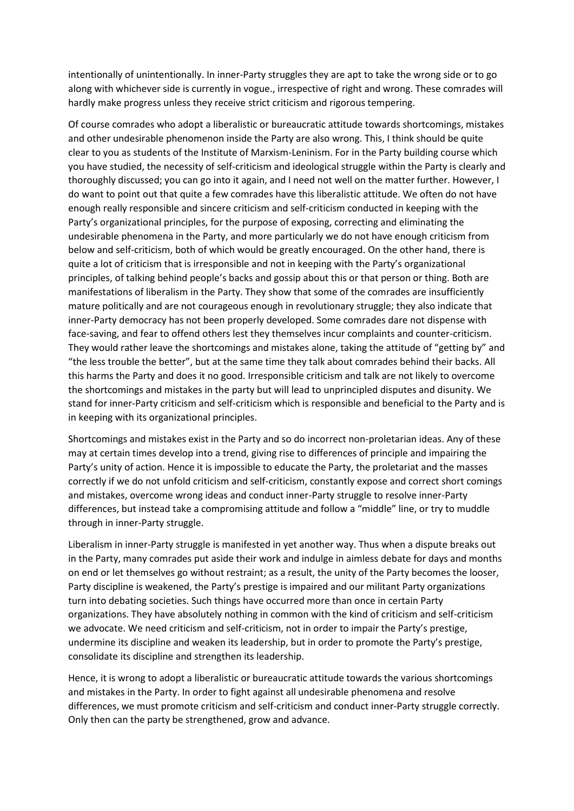intentionally of unintentionally. In inner-Party struggles they are apt to take the wrong side or to go along with whichever side is currently in vogue., irrespective of right and wrong. These comrades will hardly make progress unless they receive strict criticism and rigorous tempering.

Of course comrades who adopt a liberalistic or bureaucratic attitude towards shortcomings, mistakes and other undesirable phenomenon inside the Party are also wrong. This, I think should be quite clear to you as students of the Institute of Marxism-Leninism. For in the Party building course which you have studied, the necessity of self-criticism and ideological struggle within the Party is clearly and thoroughly discussed; you can go into it again, and I need not well on the matter further. However, I do want to point out that quite a few comrades have this liberalistic attitude. We often do not have enough really responsible and sincere criticism and self-criticism conducted in keeping with the Party's organizational principles, for the purpose of exposing, correcting and eliminating the undesirable phenomena in the Party, and more particularly we do not have enough criticism from below and self-criticism, both of which would be greatly encouraged. On the other hand, there is quite a lot of criticism that is irresponsible and not in keeping with the Party's organizational principles, of talking behind people's backs and gossip about this or that person or thing. Both are manifestations of liberalism in the Party. They show that some of the comrades are insufficiently mature politically and are not courageous enough in revolutionary struggle; they also indicate that inner-Party democracy has not been properly developed. Some comrades dare not dispense with face-saving, and fear to offend others lest they themselves incur complaints and counter-criticism. They would rather leave the shortcomings and mistakes alone, taking the attitude of "getting by" and "the less trouble the better", but at the same time they talk about comrades behind their backs. All this harms the Party and does it no good. Irresponsible criticism and talk are not likely to overcome the shortcomings and mistakes in the party but will lead to unprincipled disputes and disunity. We stand for inner-Party criticism and self-criticism which is responsible and beneficial to the Party and is in keeping with its organizational principles.

Shortcomings and mistakes exist in the Party and so do incorrect non-proletarian ideas. Any of these may at certain times develop into a trend, giving rise to differences of principle and impairing the Party's unity of action. Hence it is impossible to educate the Party, the proletariat and the masses correctly if we do not unfold criticism and self-criticism, constantly expose and correct short comings and mistakes, overcome wrong ideas and conduct inner-Party struggle to resolve inner-Party differences, but instead take a compromising attitude and follow a "middle" line, or try to muddle through in inner-Party struggle.

Liberalism in inner-Party struggle is manifested in yet another way. Thus when a dispute breaks out in the Party, many comrades put aside their work and indulge in aimless debate for days and months on end or let themselves go without restraint; as a result, the unity of the Party becomes the looser, Party discipline is weakened, the Party's prestige is impaired and our militant Party organizations turn into debating societies. Such things have occurred more than once in certain Party organizations. They have absolutely nothing in common with the kind of criticism and self-criticism we advocate. We need criticism and self-criticism, not in order to impair the Party's prestige, undermine its discipline and weaken its leadership, but in order to promote the Party's prestige, consolidate its discipline and strengthen its leadership.

Hence, it is wrong to adopt a liberalistic or bureaucratic attitude towards the various shortcomings and mistakes in the Party. In order to fight against all undesirable phenomena and resolve differences, we must promote criticism and self-criticism and conduct inner-Party struggle correctly. Only then can the party be strengthened, grow and advance.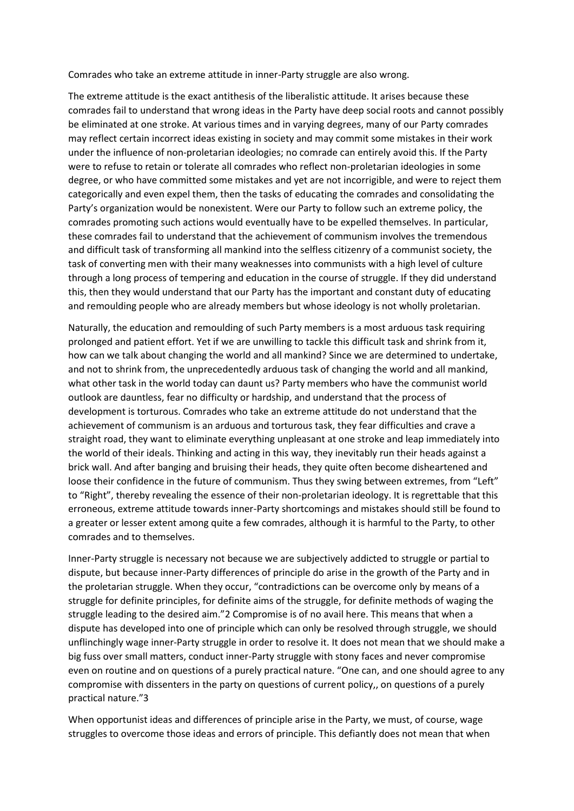Comrades who take an extreme attitude in inner-Party struggle are also wrong.

The extreme attitude is the exact antithesis of the liberalistic attitude. It arises because these comrades fail to understand that wrong ideas in the Party have deep social roots and cannot possibly be eliminated at one stroke. At various times and in varying degrees, many of our Party comrades may reflect certain incorrect ideas existing in society and may commit some mistakes in their work under the influence of non-proletarian ideologies; no comrade can entirely avoid this. If the Party were to refuse to retain or tolerate all comrades who reflect non-proletarian ideologies in some degree, or who have committed some mistakes and yet are not incorrigible, and were to reject them categorically and even expel them, then the tasks of educating the comrades and consolidating the Party's organization would be nonexistent. Were our Party to follow such an extreme policy, the comrades promoting such actions would eventually have to be expelled themselves. In particular, these comrades fail to understand that the achievement of communism involves the tremendous and difficult task of transforming all mankind into the selfless citizenry of a communist society, the task of converting men with their many weaknesses into communists with a high level of culture through a long process of tempering and education in the course of struggle. If they did understand this, then they would understand that our Party has the important and constant duty of educating and remoulding people who are already members but whose ideology is not wholly proletarian.

Naturally, the education and remoulding of such Party members is a most arduous task requiring prolonged and patient effort. Yet if we are unwilling to tackle this difficult task and shrink from it, how can we talk about changing the world and all mankind? Since we are determined to undertake, and not to shrink from, the unprecedentedly arduous task of changing the world and all mankind, what other task in the world today can daunt us? Party members who have the communist world outlook are dauntless, fear no difficulty or hardship, and understand that the process of development is torturous. Comrades who take an extreme attitude do not understand that the achievement of communism is an arduous and torturous task, they fear difficulties and crave a straight road, they want to eliminate everything unpleasant at one stroke and leap immediately into the world of their ideals. Thinking and acting in this way, they inevitably run their heads against a brick wall. And after banging and bruising their heads, they quite often become disheartened and loose their confidence in the future of communism. Thus they swing between extremes, from "Left" to "Right", thereby revealing the essence of their non-proletarian ideology. It is regrettable that this erroneous, extreme attitude towards inner-Party shortcomings and mistakes should still be found to a greater or lesser extent among quite a few comrades, although it is harmful to the Party, to other comrades and to themselves.

Inner-Party struggle is necessary not because we are subjectively addicted to struggle or partial to dispute, but because inner-Party differences of principle do arise in the growth of the Party and in the proletarian struggle. When they occur, "contradictions can be overcome only by means of a struggle for definite principles, for definite aims of the struggle, for definite methods of waging the struggle leading to the desired aim."2 Compromise is of no avail here. This means that when a dispute has developed into one of principle which can only be resolved through struggle, we should unflinchingly wage inner-Party struggle in order to resolve it. It does not mean that we should make a big fuss over small matters, conduct inner-Party struggle with stony faces and never compromise even on routine and on questions of a purely practical nature. "One can, and one should agree to any compromise with dissenters in the party on questions of current policy,, on questions of a purely practical nature."3

When opportunist ideas and differences of principle arise in the Party, we must, of course, wage struggles to overcome those ideas and errors of principle. This defiantly does not mean that when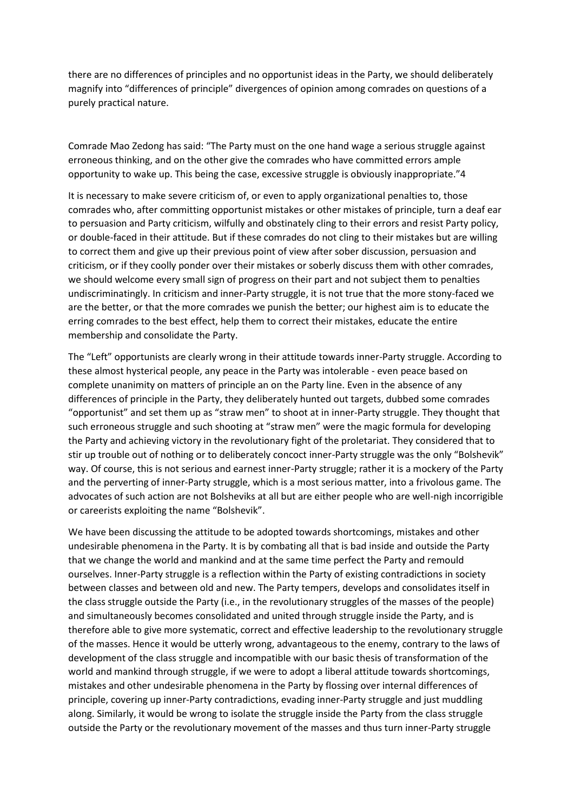there are no differences of principles and no opportunist ideas in the Party, we should deliberately magnify into "differences of principle" divergences of opinion among comrades on questions of a purely practical nature.

Comrade Mao Zedong has said: "The Party must on the one hand wage a serious struggle against erroneous thinking, and on the other give the comrades who have committed errors ample opportunity to wake up. This being the case, excessive struggle is obviously inappropriate."4

It is necessary to make severe criticism of, or even to apply organizational penalties to, those comrades who, after committing opportunist mistakes or other mistakes of principle, turn a deaf ear to persuasion and Party criticism, wilfully and obstinately cling to their errors and resist Party policy, or double-faced in their attitude. But if these comrades do not cling to their mistakes but are willing to correct them and give up their previous point of view after sober discussion, persuasion and criticism, or if they coolly ponder over their mistakes or soberly discuss them with other comrades, we should welcome every small sign of progress on their part and not subject them to penalties undiscriminatingly. In criticism and inner-Party struggle, it is not true that the more stony-faced we are the better, or that the more comrades we punish the better; our highest aim is to educate the erring comrades to the best effect, help them to correct their mistakes, educate the entire membership and consolidate the Party.

The "Left" opportunists are clearly wrong in their attitude towards inner-Party struggle. According to these almost hysterical people, any peace in the Party was intolerable - even peace based on complete unanimity on matters of principle an on the Party line. Even in the absence of any differences of principle in the Party, they deliberately hunted out targets, dubbed some comrades "opportunist" and set them up as "straw men" to shoot at in inner-Party struggle. They thought that such erroneous struggle and such shooting at "straw men" were the magic formula for developing the Party and achieving victory in the revolutionary fight of the proletariat. They considered that to stir up trouble out of nothing or to deliberately concoct inner-Party struggle was the only "Bolshevik" way. Of course, this is not serious and earnest inner-Party struggle; rather it is a mockery of the Party and the perverting of inner-Party struggle, which is a most serious matter, into a frivolous game. The advocates of such action are not Bolsheviks at all but are either people who are well-nigh incorrigible or careerists exploiting the name "Bolshevik".

We have been discussing the attitude to be adopted towards shortcomings, mistakes and other undesirable phenomena in the Party. It is by combating all that is bad inside and outside the Party that we change the world and mankind and at the same time perfect the Party and remould ourselves. Inner-Party struggle is a reflection within the Party of existing contradictions in society between classes and between old and new. The Party tempers, develops and consolidates itself in the class struggle outside the Party (i.e., in the revolutionary struggles of the masses of the people) and simultaneously becomes consolidated and united through struggle inside the Party, and is therefore able to give more systematic, correct and effective leadership to the revolutionary struggle of the masses. Hence it would be utterly wrong, advantageous to the enemy, contrary to the laws of development of the class struggle and incompatible with our basic thesis of transformation of the world and mankind through struggle, if we were to adopt a liberal attitude towards shortcomings, mistakes and other undesirable phenomena in the Party by flossing over internal differences of principle, covering up inner-Party contradictions, evading inner-Party struggle and just muddling along. Similarly, it would be wrong to isolate the struggle inside the Party from the class struggle outside the Party or the revolutionary movement of the masses and thus turn inner-Party struggle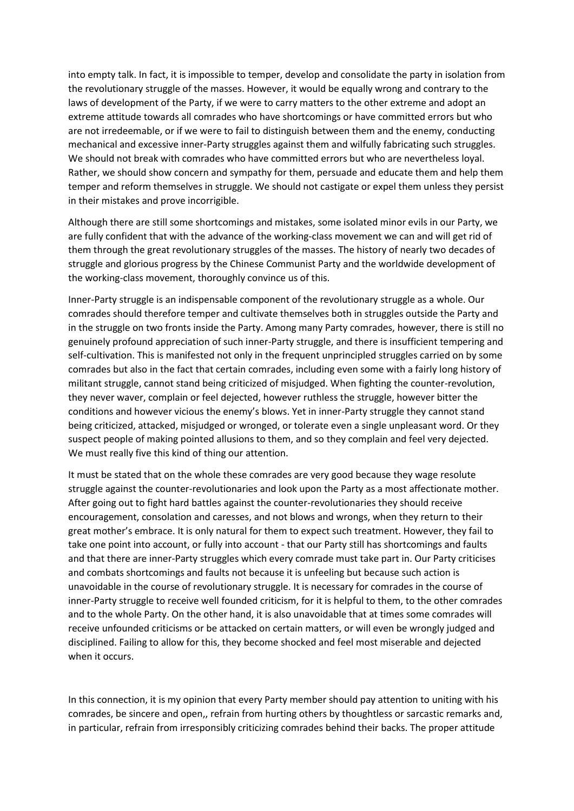into empty talk. In fact, it is impossible to temper, develop and consolidate the party in isolation from the revolutionary struggle of the masses. However, it would be equally wrong and contrary to the laws of development of the Party, if we were to carry matters to the other extreme and adopt an extreme attitude towards all comrades who have shortcomings or have committed errors but who are not irredeemable, or if we were to fail to distinguish between them and the enemy, conducting mechanical and excessive inner-Party struggles against them and wilfully fabricating such struggles. We should not break with comrades who have committed errors but who are nevertheless loyal. Rather, we should show concern and sympathy for them, persuade and educate them and help them temper and reform themselves in struggle. We should not castigate or expel them unless they persist in their mistakes and prove incorrigible.

Although there are still some shortcomings and mistakes, some isolated minor evils in our Party, we are fully confident that with the advance of the working-class movement we can and will get rid of them through the great revolutionary struggles of the masses. The history of nearly two decades of struggle and glorious progress by the Chinese Communist Party and the worldwide development of the working-class movement, thoroughly convince us of this.

Inner-Party struggle is an indispensable component of the revolutionary struggle as a whole. Our comrades should therefore temper and cultivate themselves both in struggles outside the Party and in the struggle on two fronts inside the Party. Among many Party comrades, however, there is still no genuinely profound appreciation of such inner-Party struggle, and there is insufficient tempering and self-cultivation. This is manifested not only in the frequent unprincipled struggles carried on by some comrades but also in the fact that certain comrades, including even some with a fairly long history of militant struggle, cannot stand being criticized of misjudged. When fighting the counter-revolution, they never waver, complain or feel dejected, however ruthless the struggle, however bitter the conditions and however vicious the enemy's blows. Yet in inner-Party struggle they cannot stand being criticized, attacked, misjudged or wronged, or tolerate even a single unpleasant word. Or they suspect people of making pointed allusions to them, and so they complain and feel very dejected. We must really five this kind of thing our attention.

It must be stated that on the whole these comrades are very good because they wage resolute struggle against the counter-revolutionaries and look upon the Party as a most affectionate mother. After going out to fight hard battles against the counter-revolutionaries they should receive encouragement, consolation and caresses, and not blows and wrongs, when they return to their great mother's embrace. It is only natural for them to expect such treatment. However, they fail to take one point into account, or fully into account - that our Party still has shortcomings and faults and that there are inner-Party struggles which every comrade must take part in. Our Party criticises and combats shortcomings and faults not because it is unfeeling but because such action is unavoidable in the course of revolutionary struggle. It is necessary for comrades in the course of inner-Party struggle to receive well founded criticism, for it is helpful to them, to the other comrades and to the whole Party. On the other hand, it is also unavoidable that at times some comrades will receive unfounded criticisms or be attacked on certain matters, or will even be wrongly judged and disciplined. Failing to allow for this, they become shocked and feel most miserable and dejected when it occurs.

In this connection, it is my opinion that every Party member should pay attention to uniting with his comrades, be sincere and open,, refrain from hurting others by thoughtless or sarcastic remarks and, in particular, refrain from irresponsibly criticizing comrades behind their backs. The proper attitude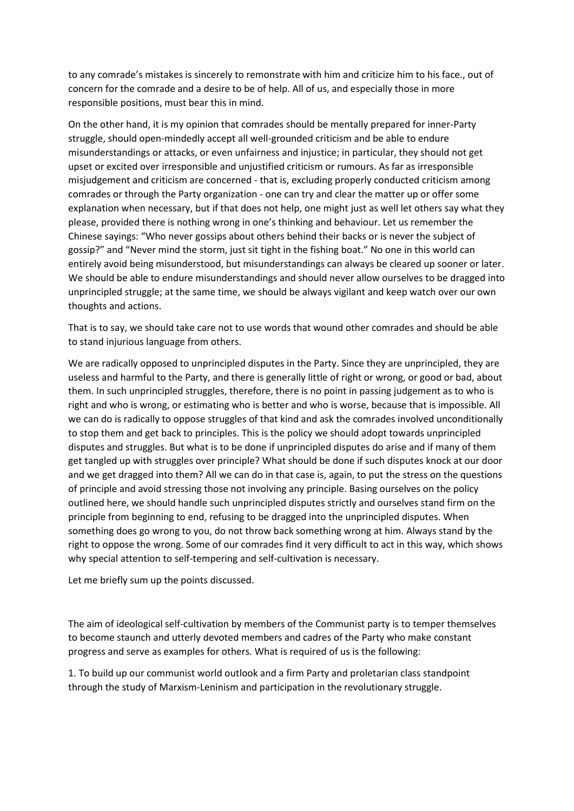to any comrade's mistakes is sincerely to remonstrate with him and criticize him to his face., out of concern for the comrade and a desire to be of help. All of us, and especially those in more responsible positions, must bear this in mind.

On the other hand, it is my opinion that comrades should be mentally prepared for inner-Party struggle, should open-mindedly accept all well-grounded criticism and be able to endure misunderstandings or attacks, or even unfairness and injustice; in particular, they should not get upset or excited over irresponsible and unjustified criticism or rumours. As far as irresponsible misjudgement and criticism are concerned - that is, excluding properly conducted criticism among comrades or through the Party organization - one can try and clear the matter up or offer some explanation when necessary, but if that does not help, one might just as well let others say what they please, provided there is nothing wrong in one's thinking and behaviour. Let us remember the Chinese sayings: "Who never gossips about others behind their backs or is never the subject of gossip?" and "Never mind the storm, just sit tight in the fishing boat." No one in this world can entirely avoid being misunderstood, but misunderstandings can always be cleared up sooner or later. We should be able to endure misunderstandings and should never allow ourselves to be dragged into unprincipled struggle; at the same time, we should be always vigilant and keep watch over our own thoughts and actions.

That is to say, we should take care not to use words that wound other comrades and should be able to stand injurious language from others.

We are radically opposed to unprincipled disputes in the Party. Since they are unprincipled, they are useless and harmful to the Party, and there is generally little of right or wrong, or good or bad, about them. In such unprincipled struggles, therefore, there is no point in passing judgement as to who is right and who is wrong, or estimating who is better and who is worse, because that is impossible. All we can do is radically to oppose struggles of that kind and ask the comrades involved unconditionally to stop them and get back to principles. This is the policy we should adopt towards unprincipled disputes and struggles. But what is to be done if unprincipled disputes do arise and if many of them get tangled up with struggles over principle? What should be done if such disputes knock at our door and we get dragged into them? All we can do in that case is, again, to put the stress on the questions of principle and avoid stressing those not involving any principle. Basing ourselves on the policy outlined here, we should handle such unprincipled disputes strictly and ourselves stand firm on the principle from beginning to end, refusing to be dragged into the unprincipled disputes. When something does go wrong to you, do not throw back something wrong at him. Always stand by the right to oppose the wrong. Some of our comrades find it very difficult to act in this way, which shows why special attention to self-tempering and self-cultivation is necessary.

Let me briefly sum up the points discussed.

The aim of ideological self-cultivation by members of the Communist party is to temper themselves to become staunch and utterly devoted members and cadres of the Party who make constant progress and serve as examples for others. What is required of us is the following:

1. To build up our communist world outlook and a firm Party and proletarian class standpoint through the study of Marxism-Leninism and participation in the revolutionary struggle.